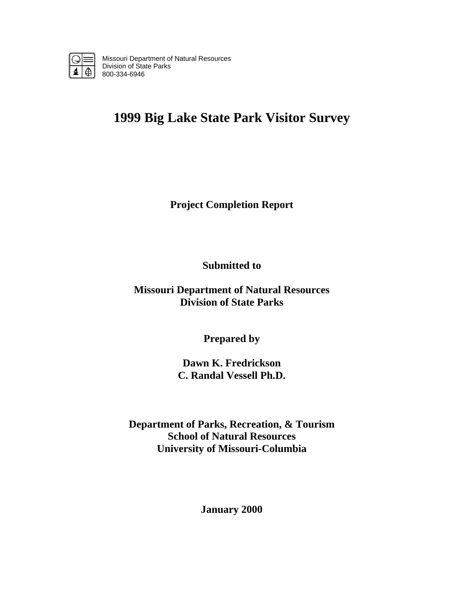

Missouri Department of Natural Resources Division of State Parks 800-334-6946

# **1999 Big Lake State Park Visitor Survey**

**Project Completion Report** 

**Submitted to** 

**Missouri Department of Natural Resources Division of State Parks** 

**Prepared by** 

**Dawn K. Fredrickson C. Randal Vessell Ph.D.** 

**Department of Parks, Recreation, & Tourism School of Natural Resources University of Missouri-Columbia** 

**January 2000**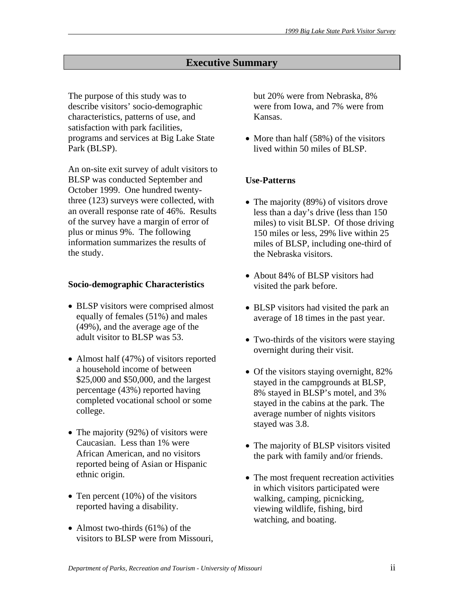# **Executive Summary**

The purpose of this study was to describe visitors' socio-demographic characteristics, patterns of use, and satisfaction with park facilities, programs and services at Big Lake State Park (BLSP).

An on-site exit survey of adult visitors to BLSP was conducted September and October 1999. One hundred twentythree (123) surveys were collected, with an overall response rate of 46%. Results of the survey have a margin of error of plus or minus 9%. The following information summarizes the results of the study.

#### **Socio-demographic Characteristics**

- BLSP visitors were comprised almost equally of females (51%) and males (49%), and the average age of the adult visitor to BLSP was 53.
- Almost half (47%) of visitors reported a household income of between \$25,000 and \$50,000, and the largest percentage (43%) reported having completed vocational school or some college.
- The majority (92%) of visitors were Caucasian. Less than 1% were African American, and no visitors reported being of Asian or Hispanic ethnic origin.
- Ten percent  $(10\%)$  of the visitors reported having a disability.
- Almost two-thirds (61%) of the visitors to BLSP were from Missouri,

but 20% were from Nebraska, 8% were from Iowa, and 7% were from Kansas.

• More than half (58%) of the visitors lived within 50 miles of BLSP.

# **Use-Patterns**

- The majority (89%) of visitors drove less than a day's drive (less than 150 miles) to visit BLSP. Of those driving 150 miles or less, 29% live within 25 miles of BLSP, including one-third of the Nebraska visitors.
- About 84% of BLSP visitors had visited the park before.
- BLSP visitors had visited the park an average of 18 times in the past year.
- Two-thirds of the visitors were staying overnight during their visit.
- Of the visitors staying overnight, 82% stayed in the campgrounds at BLSP, 8% stayed in BLSP's motel, and 3% stayed in the cabins at the park. The average number of nights visitors stayed was 3.8.
- The majority of BLSP visitors visited the park with family and/or friends.
- The most frequent recreation activities in which visitors participated were walking, camping, picnicking, viewing wildlife, fishing, bird watching, and boating.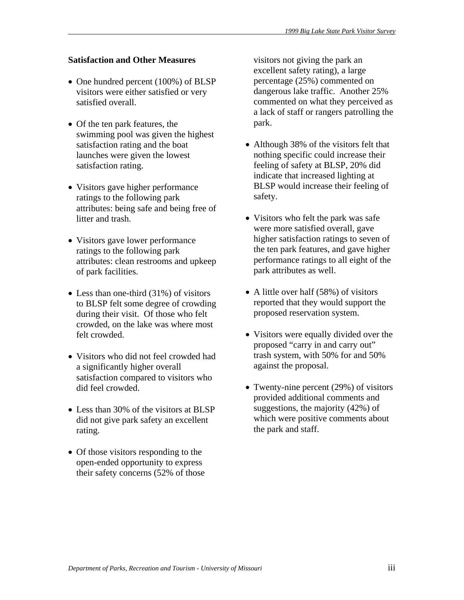# **Satisfaction and Other Measures**

- One hundred percent (100%) of BLSP visitors were either satisfied or very satisfied overall.
- Of the ten park features, the swimming pool was given the highest satisfaction rating and the boat launches were given the lowest satisfaction rating.
- Visitors gave higher performance ratings to the following park attributes: being safe and being free of litter and trash.
- Visitors gave lower performance ratings to the following park attributes: clean restrooms and upkeep of park facilities.
- Less than one-third (31%) of visitors to BLSP felt some degree of crowding during their visit. Of those who felt crowded, on the lake was where most felt crowded.
- Visitors who did not feel crowded had a significantly higher overall satisfaction compared to visitors who did feel crowded.
- Less than 30% of the visitors at BLSP did not give park safety an excellent rating.
- Of those visitors responding to the open-ended opportunity to express their safety concerns (52% of those

visitors not giving the park an excellent safety rating), a large percentage (25%) commented on dangerous lake traffic. Another 25% commented on what they perceived as a lack of staff or rangers patrolling the park.

- Although 38% of the visitors felt that nothing specific could increase their feeling of safety at BLSP, 20% did indicate that increased lighting at BLSP would increase their feeling of safety.
- Visitors who felt the park was safe were more satisfied overall, gave higher satisfaction ratings to seven of the ten park features, and gave higher performance ratings to all eight of the park attributes as well.
- A little over half (58%) of visitors reported that they would support the proposed reservation system.
- Visitors were equally divided over the proposed "carry in and carry out" trash system, with 50% for and 50% against the proposal.
- Twenty-nine percent (29%) of visitors provided additional comments and suggestions, the majority (42%) of which were positive comments about the park and staff.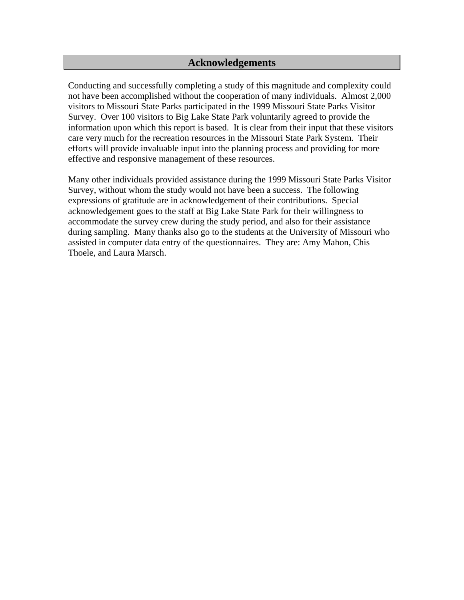# **Acknowledgements**

Conducting and successfully completing a study of this magnitude and complexity could not have been accomplished without the cooperation of many individuals. Almost 2,000 visitors to Missouri State Parks participated in the 1999 Missouri State Parks Visitor Survey. Over 100 visitors to Big Lake State Park voluntarily agreed to provide the information upon which this report is based. It is clear from their input that these visitors care very much for the recreation resources in the Missouri State Park System. Their efforts will provide invaluable input into the planning process and providing for more effective and responsive management of these resources.

Many other individuals provided assistance during the 1999 Missouri State Parks Visitor Survey, without whom the study would not have been a success. The following expressions of gratitude are in acknowledgement of their contributions. Special acknowledgement goes to the staff at Big Lake State Park for their willingness to accommodate the survey crew during the study period, and also for their assistance during sampling. Many thanks also go to the students at the University of Missouri who assisted in computer data entry of the questionnaires. They are: Amy Mahon, Chis Thoele, and Laura Marsch.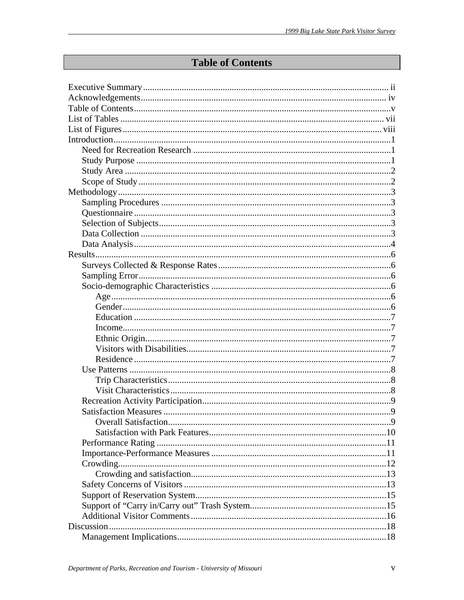# **Table of Contents**

| <b>Overall Satisfaction</b> | $\mathbf Q$ |
|-----------------------------|-------------|
|                             |             |
|                             |             |
|                             |             |
|                             |             |
|                             |             |
|                             |             |
|                             |             |
|                             |             |
|                             |             |
|                             |             |
|                             |             |
|                             |             |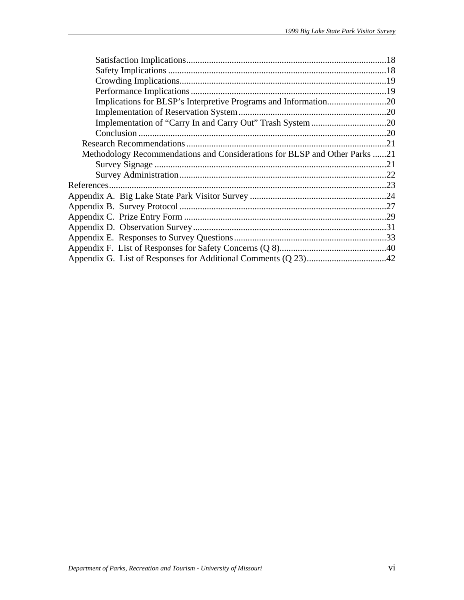| Methodology Recommendations and Considerations for BLSP and Other Parks 21 |  |
|----------------------------------------------------------------------------|--|
|                                                                            |  |
|                                                                            |  |
|                                                                            |  |
|                                                                            |  |
|                                                                            |  |
|                                                                            |  |
|                                                                            |  |
|                                                                            |  |
|                                                                            |  |
|                                                                            |  |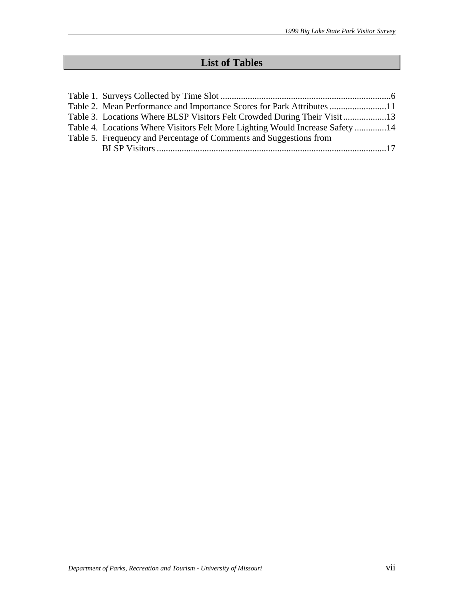# **List of Tables**

| Table 2. Mean Performance and Importance Scores for Park Attributes 11        |  |
|-------------------------------------------------------------------------------|--|
| Table 3. Locations Where BLSP Visitors Felt Crowded During Their Visit        |  |
| Table 4. Locations Where Visitors Felt More Lighting Would Increase Safety 14 |  |
| Table 5. Frequency and Percentage of Comments and Suggestions from            |  |
|                                                                               |  |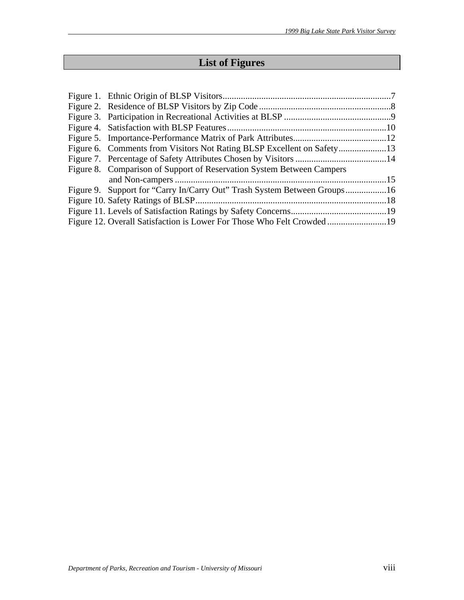# **List of Figures**

| Figure 8. Comparison of Support of Reservation System Between Campers |  |
|-----------------------------------------------------------------------|--|
|                                                                       |  |
|                                                                       |  |
|                                                                       |  |
|                                                                       |  |
|                                                                       |  |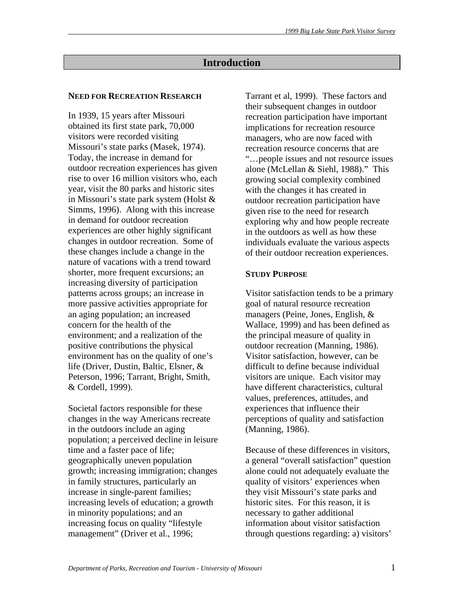# **Introduction**

#### **NEED FOR RECREATION RESEARCH**

In 1939, 15 years after Missouri obtained its first state park, 70,000 visitors were recorded visiting Missouri's state parks (Masek, 1974). Today, the increase in demand for outdoor recreation experiences has given rise to over 16 million visitors who, each year, visit the 80 parks and historic sites in Missouri's state park system (Holst & Simms, 1996). Along with this increase in demand for outdoor recreation experiences are other highly significant changes in outdoor recreation. Some of these changes include a change in the nature of vacations with a trend toward shorter, more frequent excursions; an increasing diversity of participation patterns across groups; an increase in more passive activities appropriate for an aging population; an increased concern for the health of the environment; and a realization of the positive contributions the physical environment has on the quality of one's life (Driver, Dustin, Baltic, Elsner, & Peterson, 1996; Tarrant, Bright, Smith, & Cordell, 1999).

Societal factors responsible for these changes in the way Americans recreate in the outdoors include an aging population; a perceived decline in leisure time and a faster pace of life; geographically uneven population growth; increasing immigration; changes in family structures, particularly an increase in single-parent families; increasing levels of education; a growth in minority populations; and an increasing focus on quality "lifestyle management" (Driver et al., 1996;

Tarrant et al, 1999). These factors and their subsequent changes in outdoor recreation participation have important implications for recreation resource managers, who are now faced with recreation resource concerns that are "…people issues and not resource issues alone (McLellan & Siehl, 1988)." This growing social complexity combined with the changes it has created in outdoor recreation participation have given rise to the need for research exploring why and how people recreate in the outdoors as well as how these individuals evaluate the various aspects of their outdoor recreation experiences.

#### **STUDY PURPOSE**

Visitor satisfaction tends to be a primary goal of natural resource recreation managers (Peine, Jones, English, & Wallace, 1999) and has been defined as the principal measure of quality in outdoor recreation (Manning, 1986). Visitor satisfaction, however, can be difficult to define because individual visitors are unique. Each visitor may have different characteristics, cultural values, preferences, attitudes, and experiences that influence their perceptions of quality and satisfaction (Manning, 1986).

Because of these differences in visitors, a general "overall satisfaction" question alone could not adequately evaluate the quality of visitors' experiences when they visit Missouri's state parks and historic sites. For this reason, it is necessary to gather additional information about visitor satisfaction through questions regarding: a) visitors'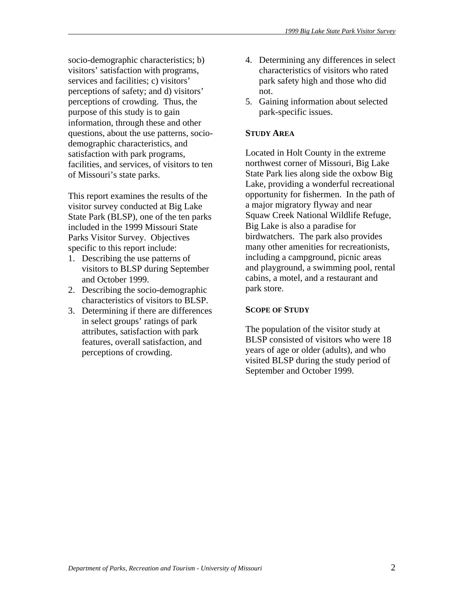socio-demographic characteristics; b) visitors' satisfaction with programs, services and facilities; c) visitors' perceptions of safety; and d) visitors' perceptions of crowding. Thus, the purpose of this study is to gain information, through these and other questions, about the use patterns, sociodemographic characteristics, and satisfaction with park programs, facilities, and services, of visitors to ten of Missouri's state parks.

This report examines the results of the visitor survey conducted at Big Lake State Park (BLSP), one of the ten parks included in the 1999 Missouri State Parks Visitor Survey. Objectives specific to this report include:

- 1. Describing the use patterns of visitors to BLSP during September and October 1999.
- 2. Describing the socio-demographic characteristics of visitors to BLSP.
- 3. Determining if there are differences in select groups' ratings of park attributes, satisfaction with park features, overall satisfaction, and perceptions of crowding.
- 4. Determining any differences in select characteristics of visitors who rated park safety high and those who did not.
- 5. Gaining information about selected park-specific issues.

# **STUDY AREA**

Located in Holt County in the extreme northwest corner of Missouri, Big Lake State Park lies along side the oxbow Big Lake, providing a wonderful recreational opportunity for fishermen. In the path of a major migratory flyway and near Squaw Creek National Wildlife Refuge, Big Lake is also a paradise for birdwatchers. The park also provides many other amenities for recreationists, including a campground, picnic areas and playground, a swimming pool, rental cabins, a motel, and a restaurant and park store.

### **SCOPE OF STUDY**

The population of the visitor study at BLSP consisted of visitors who were 18 years of age or older (adults), and who visited BLSP during the study period of September and October 1999.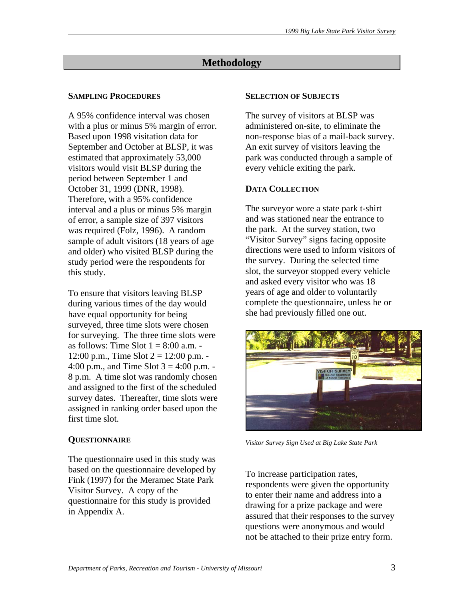# **Methodology**

# **SAMPLING PROCEDURES**

A 95% confidence interval was chosen with a plus or minus 5% margin of error. Based upon 1998 visitation data for September and October at BLSP, it was estimated that approximately 53,000 visitors would visit BLSP during the period between September 1 and October 31, 1999 (DNR, 1998). Therefore, with a 95% confidence interval and a plus or minus 5% margin of error, a sample size of 397 visitors was required (Folz, 1996). A random sample of adult visitors (18 years of age and older) who visited BLSP during the study period were the respondents for this study.

To ensure that visitors leaving BLSP during various times of the day would have equal opportunity for being surveyed, three time slots were chosen for surveying. The three time slots were as follows: Time Slot  $1 = 8:00$  a.m. -12:00 p.m., Time Slot  $2 = 12:00$  p.m. -4:00 p.m., and Time Slot  $3 = 4:00$  p.m. -8 p.m. A time slot was randomly chosen and assigned to the first of the scheduled survey dates. Thereafter, time slots were assigned in ranking order based upon the first time slot.

# **QUESTIONNAIRE**

The questionnaire used in this study was based on the questionnaire developed by Fink (1997) for the Meramec State Park Visitor Survey. A copy of the questionnaire for this study is provided in Appendix A.

#### **SELECTION OF SUBJECTS**

The survey of visitors at BLSP was administered on-site, to eliminate the non-response bias of a mail-back survey. An exit survey of visitors leaving the park was conducted through a sample of every vehicle exiting the park.

# **DATA COLLECTION**

The surveyor wore a state park t-shirt and was stationed near the entrance to the park. At the survey station, two "Visitor Survey" signs facing opposite directions were used to inform visitors of the survey. During the selected time slot, the surveyor stopped every vehicle and asked every visitor who was 18 years of age and older to voluntarily complete the questionnaire, unless he or she had previously filled one out.



*Visitor Survey Sign Used at Big Lake State Park* 

To increase participation rates, respondents were given the opportunity to enter their name and address into a drawing for a prize package and were assured that their responses to the survey questions were anonymous and would not be attached to their prize entry form.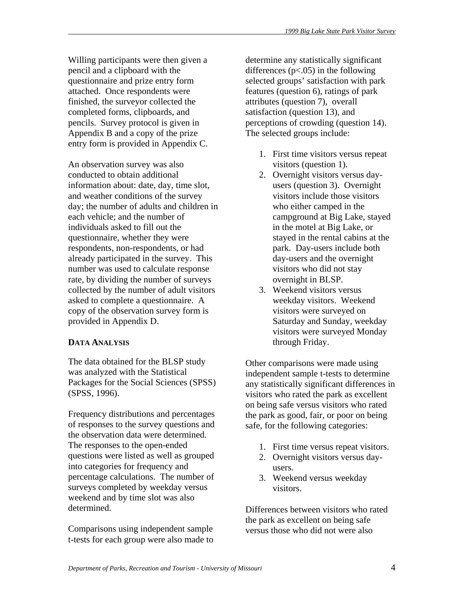Willing participants were then given a pencil and a clipboard with the questionnaire and prize entry form attached. Once respondents were finished, the surveyor collected the completed forms, clipboards, and pencils. Survey protocol is given in Appendix B and a copy of the prize entry form is provided in Appendix C.

An observation survey was also conducted to obtain additional information about: date, day, time slot, and weather conditions of the survey day; the number of adults and children in each vehicle; and the number of individuals asked to fill out the questionnaire, whether they were respondents, non-respondents, or had already participated in the survey. This number was used to calculate response rate, by dividing the number of surveys collected by the number of adult visitors asked to complete a questionnaire. A copy of the observation survey form is provided in Appendix D.

### **DATA ANALYSIS**

The data obtained for the BLSP study was analyzed with the Statistical Packages for the Social Sciences (SPSS) (SPSS, 1996).

Frequency distributions and percentages of responses to the survey questions and the observation data were determined. The responses to the open-ended questions were listed as well as grouped into categories for frequency and percentage calculations. The number of surveys completed by weekday versus weekend and by time slot was also determined.

Comparisons using independent sample t-tests for each group were also made to determine any statistically significant differences  $(p<.05)$  in the following selected groups' satisfaction with park features (question 6), ratings of park attributes (question 7), overall satisfaction (question 13), and perceptions of crowding (question 14). The selected groups include:

- 1. First time visitors versus repeat visitors (question 1).
- 2. Overnight visitors versus dayusers (question 3). Overnight visitors include those visitors who either camped in the campground at Big Lake, stayed in the motel at Big Lake, or stayed in the rental cabins at the park. Day-users include both day-users and the overnight visitors who did not stay overnight in BLSP.
- 3. Weekend visitors versus weekday visitors. Weekend visitors were surveyed on Saturday and Sunday, weekday visitors were surveyed Monday through Friday.

Other comparisons were made using independent sample t-tests to determine any statistically significant differences in visitors who rated the park as excellent on being safe versus visitors who rated the park as good, fair, or poor on being safe, for the following categories:

- 1. First time versus repeat visitors.
- 2. Overnight visitors versus dayusers.
- 3. Weekend versus weekday visitors.

Differences between visitors who rated the park as excellent on being safe versus those who did not were also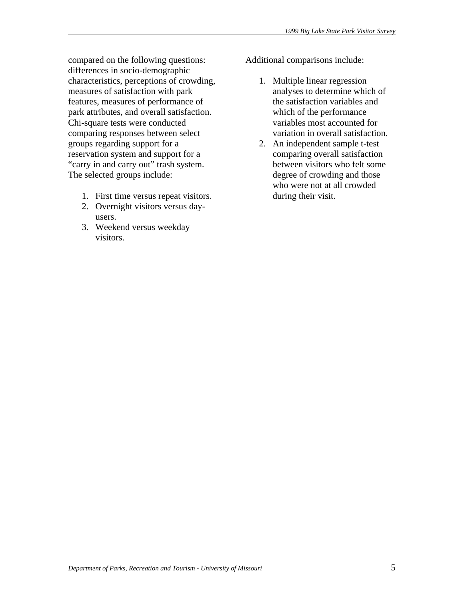compared on the following questions: differences in socio-demographic characteristics, perceptions of crowding, measures of satisfaction with park features, measures of performance of park attributes, and overall satisfaction. Chi-square tests were conducted comparing responses between select groups regarding support for a reservation system and support for a "carry in and carry out" trash system. The selected groups include:

- 1. First time versus repeat visitors.
- 2. Overnight visitors versus dayusers.
- 3. Weekend versus weekday visitors.

Additional comparisons include:

- 1. Multiple linear regression analyses to determine which of the satisfaction variables and which of the performance variables most accounted for variation in overall satisfaction.
- 2. An independent sample t-test comparing overall satisfaction between visitors who felt some degree of crowding and those who were not at all crowded during their visit.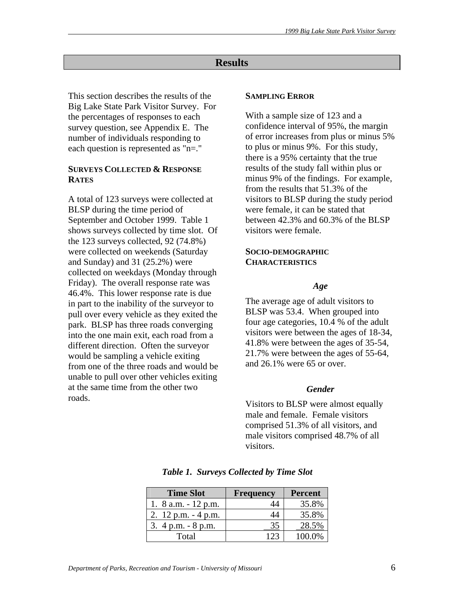# **Results**

This section describes the results of the Big Lake State Park Visitor Survey. For the percentages of responses to each survey question, see Appendix E. The number of individuals responding to each question is represented as "n=."

### **SURVEYS COLLECTED & RESPONSE RATES**

A total of 123 surveys were collected at BLSP during the time period of September and October 1999. Table 1 shows surveys collected by time slot. Of the 123 surveys collected, 92 (74.8%) were collected on weekends (Saturday and Sunday) and 31 (25.2%) were collected on weekdays (Monday through Friday). The overall response rate was 46.4%. This lower response rate is due in part to the inability of the surveyor to pull over every vehicle as they exited the park. BLSP has three roads converging into the one main exit, each road from a different direction. Often the surveyor would be sampling a vehicle exiting from one of the three roads and would be unable to pull over other vehicles exiting at the same time from the other two roads.

#### **SAMPLING ERROR**

With a sample size of 123 and a confidence interval of 95%, the margin of error increases from plus or minus 5% to plus or minus 9%. For this study, there is a 95% certainty that the true results of the study fall within plus or minus 9% of the findings. For example, from the results that 51.3% of the visitors to BLSP during the study period were female, it can be stated that between 42.3% and 60.3% of the BLSP visitors were female.

#### **SOCIO-DEMOGRAPHIC CHARACTERISTICS**

#### *Age*

The average age of adult visitors to BLSP was 53.4. When grouped into four age categories, 10.4 % of the adult visitors were between the ages of 18-34, 41.8% were between the ages of 35-54, 21.7% were between the ages of 55-64, and 26.1% were 65 or over.

#### *Gender*

Visitors to BLSP were almost equally male and female. Female visitors comprised 51.3% of all visitors, and male visitors comprised 48.7% of all visitors.

| <b>Time Slot</b>       | <b>Frequency</b> | <b>Percent</b> |
|------------------------|------------------|----------------|
| 1. $8$ a.m. $-12$ p.m. | 44               | 35.8%          |
| 2. $12$ p.m. $-4$ p.m. | 44               | 35.8%          |
| 3. $4 p.m. - 8 p.m.$   | 35               | 28.5%          |
| Total                  | 123              | 100.0%         |

*Table 1. Surveys Collected by Time Slot*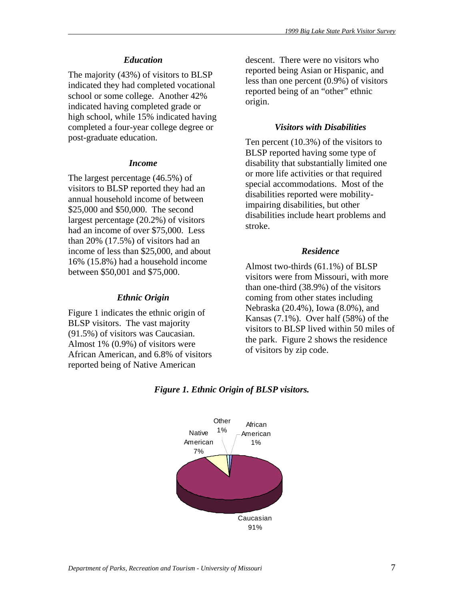### *Education*

The majority (43%) of visitors to BLSP indicated they had completed vocational school or some college. Another 42% indicated having completed grade or high school, while 15% indicated having completed a four-year college degree or post-graduate education.

#### *Income*

The largest percentage (46.5%) of visitors to BLSP reported they had an annual household income of between \$25,000 and \$50,000. The second largest percentage (20.2%) of visitors had an income of over \$75,000. Less than 20% (17.5%) of visitors had an income of less than \$25,000, and about 16% (15.8%) had a household income between \$50,001 and \$75,000.

#### *Ethnic Origin*

Figure 1 indicates the ethnic origin of BLSP visitors. The vast majority (91.5%) of visitors was Caucasian. Almost 1% (0.9%) of visitors were African American, and 6.8% of visitors reported being of Native American

descent. There were no visitors who reported being Asian or Hispanic, and less than one percent (0.9%) of visitors reported being of an "other" ethnic origin.

#### *Visitors with Disabilities*

Ten percent (10.3%) of the visitors to BLSP reported having some type of disability that substantially limited one or more life activities or that required special accommodations. Most of the disabilities reported were mobilityimpairing disabilities, but other disabilities include heart problems and stroke.

### *Residence*

Almost two-thirds (61.1%) of BLSP visitors were from Missouri, with more than one-third (38.9%) of the visitors coming from other states including Nebraska (20.4%), Iowa (8.0%), and Kansas (7.1%). Over half (58%) of the visitors to BLSP lived within 50 miles of the park. Figure 2 shows the residence of visitors by zip code.



#### *Figure 1. Ethnic Origin of BLSP visitors.*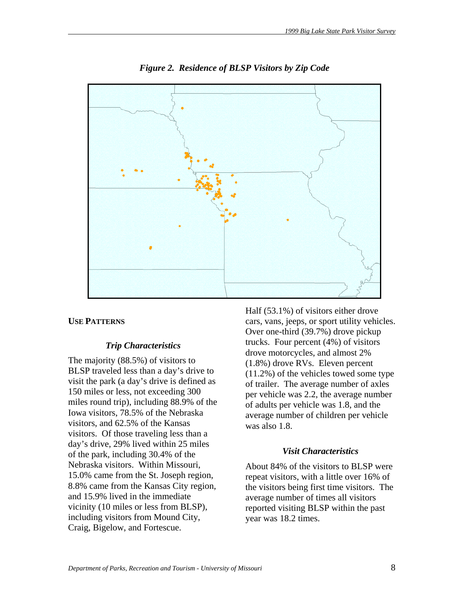

*Figure 2. Residence of BLSP Visitors by Zip Code* 

### **USE PATTERNS**

#### *Trip Characteristics*

The majority (88.5%) of visitors to BLSP traveled less than a day's drive to visit the park (a day's drive is defined as 150 miles or less, not exceeding 300 miles round trip), including 88.9% of the Iowa visitors, 78.5% of the Nebraska visitors, and 62.5% of the Kansas visitors. Of those traveling less than a day's drive, 29% lived within 25 miles of the park, including 30.4% of the Nebraska visitors. Within Missouri, 15.0% came from the St. Joseph region, 8.8% came from the Kansas City region, and 15.9% lived in the immediate vicinity (10 miles or less from BLSP), including visitors from Mound City, Craig, Bigelow, and Fortescue.

Half (53.1%) of visitors either drove cars, vans, jeeps, or sport utility vehicles. Over one-third (39.7%) drove pickup trucks. Four percent (4%) of visitors drove motorcycles, and almost 2% (1.8%) drove RVs. Eleven percent (11.2%) of the vehicles towed some type of trailer. The average number of axles per vehicle was 2.2, the average number of adults per vehicle was 1.8, and the average number of children per vehicle was also 1.8.

# *Visit Characteristics*

About 84% of the visitors to BLSP were repeat visitors, with a little over 16% of the visitors being first time visitors. The average number of times all visitors reported visiting BLSP within the past year was 18.2 times.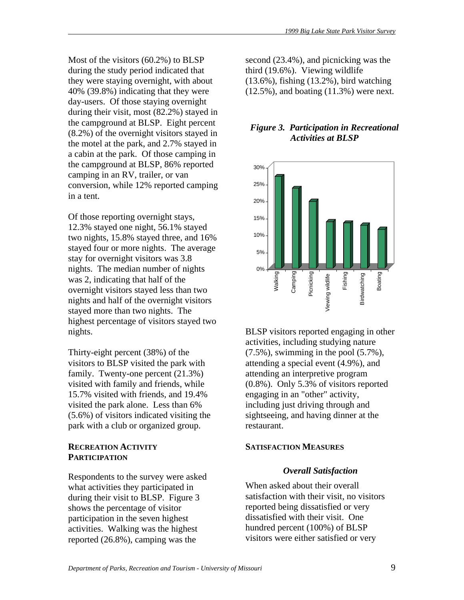Most of the visitors (60.2%) to BLSP during the study period indicated that they were staying overnight, with about 40% (39.8%) indicating that they were day-users. Of those staying overnight during their visit, most (82.2%) stayed in the campground at BLSP. Eight percent (8.2%) of the overnight visitors stayed in the motel at the park, and 2.7% stayed in a cabin at the park. Of those camping in the campground at BLSP, 86% reported camping in an RV, trailer, or van conversion, while 12% reported camping in a tent.

Of those reporting overnight stays, 12.3% stayed one night, 56.1% stayed two nights, 15.8% stayed three, and 16% stayed four or more nights. The average stay for overnight visitors was 3.8 nights. The median number of nights was 2, indicating that half of the overnight visitors stayed less than two nights and half of the overnight visitors stayed more than two nights. The highest percentage of visitors stayed two nights.

Thirty-eight percent (38%) of the visitors to BLSP visited the park with family. Twenty-one percent (21.3%) visited with family and friends, while 15.7% visited with friends, and 19.4% visited the park alone. Less than 6% (5.6%) of visitors indicated visiting the park with a club or organized group.

### **RECREATION ACTIVITY PARTICIPATION**

Respondents to the survey were asked what activities they participated in during their visit to BLSP. Figure 3 shows the percentage of visitor participation in the seven highest activities. Walking was the highest reported (26.8%), camping was the

second (23.4%), and picnicking was the third (19.6%). Viewing wildlife (13.6%), fishing (13.2%), bird watching (12.5%), and boating (11.3%) were next.

# *Figure 3. Participation in Recreational Activities at BLSP*



BLSP visitors reported engaging in other activities, including studying nature  $(7.5\%)$ , swimming in the pool  $(5.7\%)$ , attending a special event (4.9%), and attending an interpretive program (0.8%). Only 5.3% of visitors reported engaging in an "other" activity, including just driving through and sightseeing, and having dinner at the restaurant.

### **SATISFACTION MEASURES**

# *Overall Satisfaction*

When asked about their overall satisfaction with their visit, no visitors reported being dissatisfied or very dissatisfied with their visit. One hundred percent (100%) of BLSP visitors were either satisfied or very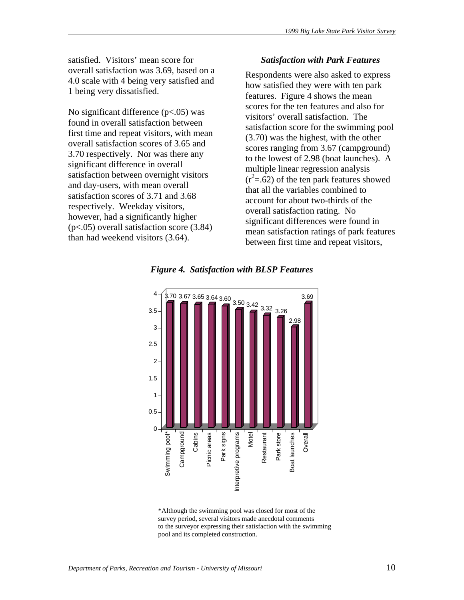satisfied. Visitors' mean score for overall satisfaction was 3.69, based on a 4.0 scale with 4 being very satisfied and 1 being very dissatisfied.

No significant difference  $(p<.05)$  was found in overall satisfaction between first time and repeat visitors, with mean overall satisfaction scores of 3.65 and 3.70 respectively. Nor was there any significant difference in overall satisfaction between overnight visitors and day-users, with mean overall satisfaction scores of 3.71 and 3.68 respectively. Weekday visitors, however, had a significantly higher (p<.05) overall satisfaction score (3.84) than had weekend visitors (3.64).

#### *Satisfaction with Park Features*

Respondents were also asked to express how satisfied they were with ten park features. Figure 4 shows the mean scores for the ten features and also for visitors' overall satisfaction. The satisfaction score for the swimming pool (3.70) was the highest, with the other scores ranging from 3.67 (campground) to the lowest of 2.98 (boat launches). A multiple linear regression analysis  $(r<sup>2</sup>=.62)$  of the ten park features showed that all the variables combined to account for about two-thirds of the overall satisfaction rating. No significant differences were found in mean satisfaction ratings of park features between first time and repeat visitors,

*Figure 4. Satisfaction with BLSP Features* 



 <sup>\*</sup>Although the swimming pool was closed for most of the survey period, several visitors made anecdotal comments to the surveyor expressing their satisfaction with the swimming pool and its completed construction.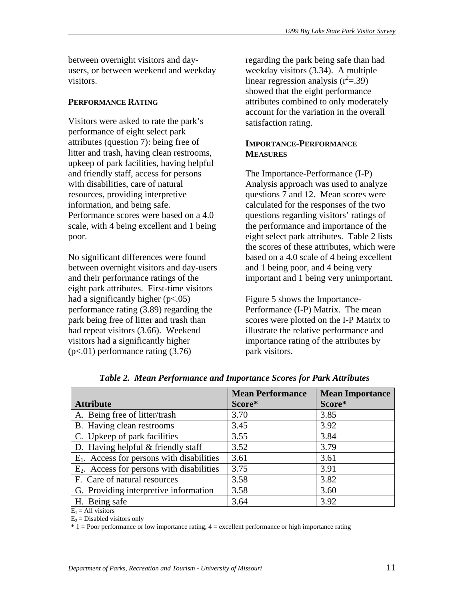between overnight visitors and dayusers, or between weekend and weekday visitors.

#### **PERFORMANCE RATING**

Visitors were asked to rate the park's performance of eight select park attributes (question 7): being free of litter and trash, having clean restrooms, upkeep of park facilities, having helpful and friendly staff, access for persons with disabilities, care of natural resources, providing interpretive information, and being safe. Performance scores were based on a 4.0 scale, with 4 being excellent and 1 being poor.

No significant differences were found between overnight visitors and day-users and their performance ratings of the eight park attributes. First-time visitors had a significantly higher  $(p<.05)$ performance rating (3.89) regarding the park being free of litter and trash than had repeat visitors (3.66). Weekend visitors had a significantly higher (p<.01) performance rating (3.76)

regarding the park being safe than had weekday visitors (3.34). A multiple linear regression analysis  $(r^2 = .39)$ showed that the eight performance attributes combined to only moderately account for the variation in the overall satisfaction rating.

# **IMPORTANCE-PERFORMANCE MEASURES**

The Importance-Performance (I-P) Analysis approach was used to analyze questions 7 and 12. Mean scores were calculated for the responses of the two questions regarding visitors' ratings of the performance and importance of the eight select park attributes. Table 2 lists the scores of these attributes, which were based on a 4.0 scale of 4 being excellent and 1 being poor, and 4 being very important and 1 being very unimportant.

Figure 5 shows the Importance-Performance (I-P) Matrix. The mean scores were plotted on the I-P Matrix to illustrate the relative performance and importance rating of the attributes by park visitors.

|                                              | <b>Mean Performance</b> | <b>Mean Importance</b> |
|----------------------------------------------|-------------------------|------------------------|
| <b>Attribute</b>                             | Score*                  | Score*                 |
| A. Being free of litter/trash                | 3.70                    | 3.85                   |
| B. Having clean restrooms                    | 3.45                    | 3.92                   |
| C. Upkeep of park facilities                 | 3.55                    | 3.84                   |
| D. Having helpful $&$ friendly staff         | 3.52                    | 3.79                   |
| $E_1$ . Access for persons with disabilities | 3.61                    | 3.61                   |
| $E_2$ . Access for persons with disabilities | 3.75                    | 3.91                   |
| F. Care of natural resources                 | 3.58                    | 3.82                   |
| G. Providing interpretive information        | 3.58                    | 3.60                   |
| H. Being safe                                | 3.64                    | 3.92                   |

*Table 2. Mean Performance and Importance Scores for Park Attributes* 

 $E_1$  = All visitors

 $E_2$  = Disabled visitors only

\* 1 = Poor performance or low importance rating, 4 = excellent performance or high importance rating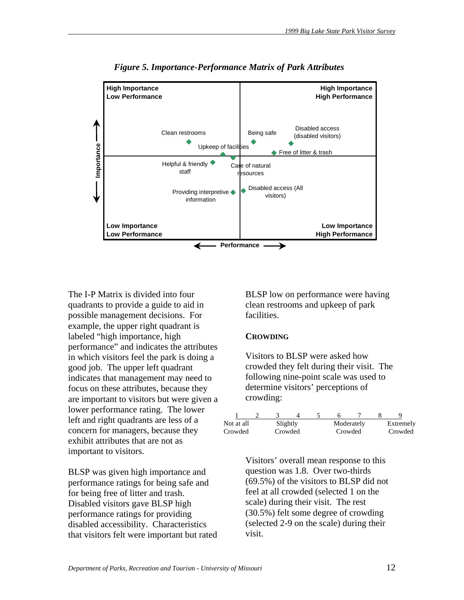

*Figure 5. Importance-Performance Matrix of Park Attributes* 

The I-P Matrix is divided into four quadrants to provide a guide to aid in possible management decisions. For example, the upper right quadrant is labeled "high importance, high performance" and indicates the attributes in which visitors feel the park is doing a good job. The upper left quadrant indicates that management may need to focus on these attributes, because they are important to visitors but were given a lower performance rating. The lower left and right quadrants are less of a concern for managers, because they exhibit attributes that are not as important to visitors.

BLSP was given high importance and performance ratings for being safe and for being free of litter and trash. Disabled visitors gave BLSP high performance ratings for providing disabled accessibility. Characteristics that visitors felt were important but rated BLSP low on performance were having clean restrooms and upkeep of park facilities.

#### **CROWDING**

Visitors to BLSP were asked how crowded they felt during their visit. The following nine-point scale was used to determine visitors' perceptions of crowding:

| Not at all | Slightly |  |         | Moderately | Extremely |
|------------|----------|--|---------|------------|-----------|
| Crowded    | Crowded  |  | Crowded |            | Crowded   |

Visitors' overall mean response to this question was 1.8. Over two-thirds (69.5%) of the visitors to BLSP did not feel at all crowded (selected 1 on the scale) during their visit. The rest (30.5%) felt some degree of crowding (selected 2-9 on the scale) during their visit.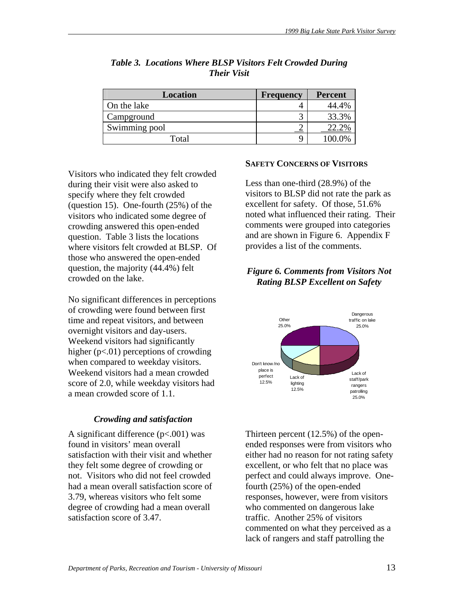| <b>Location</b> | <b>Frequency</b> | Percent |
|-----------------|------------------|---------|
| On the lake     |                  | 44.4%   |
| Campground      |                  | 33.3%   |
| Swimming pool   |                  | 22.2%   |
| Total           |                  | 100.0%  |

# *Table 3. Locations Where BLSP Visitors Felt Crowded During Their Visit*

Visitors who indicated they felt crowded during their visit were also asked to specify where they felt crowded (question 15). One-fourth (25%) of the visitors who indicated some degree of crowding answered this open-ended question. Table 3 lists the locations where visitors felt crowded at BLSP. Of those who answered the open-ended question, the majority (44.4%) felt crowded on the lake.

No significant differences in perceptions of crowding were found between first time and repeat visitors, and between overnight visitors and day-users. Weekend visitors had significantly higher  $(p<.01)$  perceptions of crowding when compared to weekday visitors. Weekend visitors had a mean crowded score of 2.0, while weekday visitors had a mean crowded score of 1.1.

# *Crowding and satisfaction*

A significant difference  $(p<.001)$  was found in visitors' mean overall satisfaction with their visit and whether they felt some degree of crowding or not. Visitors who did not feel crowded had a mean overall satisfaction score of 3.79, whereas visitors who felt some degree of crowding had a mean overall satisfaction score of 3.47.

# **SAFETY CONCERNS OF VISITORS**

Less than one-third (28.9%) of the visitors to BLSP did not rate the park as excellent for safety. Of those, 51.6% noted what influenced their rating. Their comments were grouped into categories and are shown in Figure 6. Appendix F provides a list of the comments.

# *Figure 6. Comments from Visitors Not Rating BLSP Excellent on Safety*



Thirteen percent (12.5%) of the openended responses were from visitors who either had no reason for not rating safety excellent, or who felt that no place was perfect and could always improve. Onefourth (25%) of the open-ended responses, however, were from visitors who commented on dangerous lake traffic. Another 25% of visitors commented on what they perceived as a lack of rangers and staff patrolling the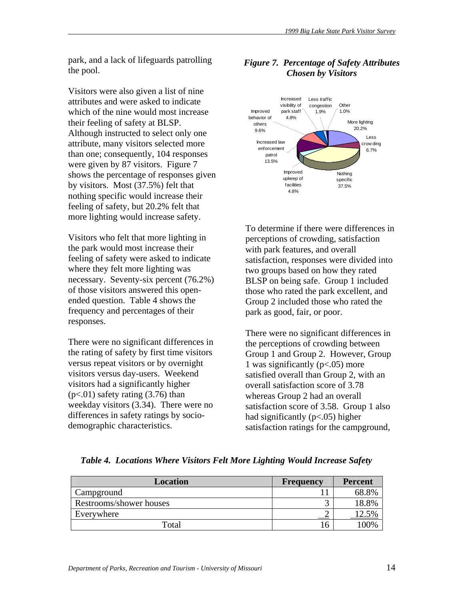park, and a lack of lifeguards patrolling the pool.

Visitors were also given a list of nine attributes and were asked to indicate which of the nine would most increase their feeling of safety at BLSP. Although instructed to select only one attribute, many visitors selected more than one; consequently, 104 responses were given by 87 visitors. Figure 7 shows the percentage of responses given by visitors. Most (37.5%) felt that nothing specific would increase their feeling of safety, but 20.2% felt that more lighting would increase safety.

Visitors who felt that more lighting in the park would most increase their feeling of safety were asked to indicate where they felt more lighting was necessary. Seventy-six percent (76.2%) of those visitors answered this openended question. Table 4 shows the frequency and percentages of their responses.

There were no significant differences in the rating of safety by first time visitors versus repeat visitors or by overnight visitors versus day-users. Weekend visitors had a significantly higher  $(p<.01)$  safety rating  $(3.76)$  than weekday visitors (3.34). There were no differences in safety ratings by sociodemographic characteristics.



### *Figure 7. Percentage of Safety Attributes Chosen by Visitors*

To determine if there were differences in perceptions of crowding, satisfaction with park features, and overall satisfaction, responses were divided into two groups based on how they rated BLSP on being safe. Group 1 included those who rated the park excellent, and Group 2 included those who rated the park as good, fair, or poor.

There were no significant differences in the perceptions of crowding between Group 1 and Group 2. However, Group 1 was significantly (p<.05) more satisfied overall than Group 2, with an overall satisfaction score of 3.78 whereas Group 2 had an overall satisfaction score of 3.58. Group 1 also had significantly (p<.05) higher satisfaction ratings for the campground,

| <b>Location</b>         | <b>Frequency</b> | <b>Percent</b> |
|-------------------------|------------------|----------------|
| Campground              |                  | 68.8%          |
| Restrooms/shower houses |                  | 18.8%          |
| Everywhere              |                  | 12.5%          |
| Total                   |                  | 100%           |

*Table 4. Locations Where Visitors Felt More Lighting Would Increase Safety*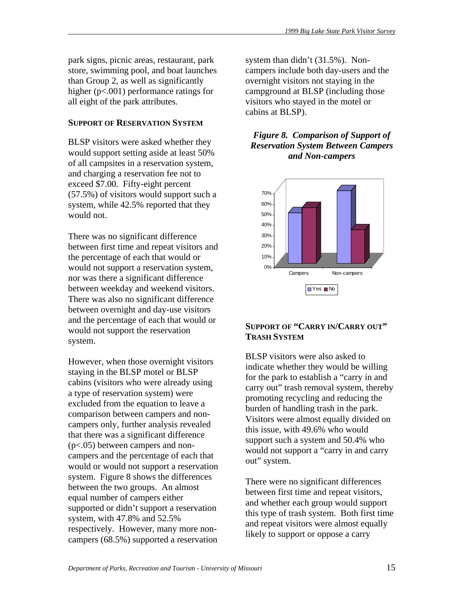park signs, picnic areas, restaurant, park store, swimming pool, and boat launches than Group 2, as well as significantly higher (p<.001) performance ratings for all eight of the park attributes.

#### **SUPPORT OF RESERVATION SYSTEM**

BLSP visitors were asked whether they would support setting aside at least 50% of all campsites in a reservation system, and charging a reservation fee not to exceed \$7.00. Fifty-eight percent (57.5%) of visitors would support such a system, while 42.5% reported that they would not.

There was no significant difference between first time and repeat visitors and the percentage of each that would or would not support a reservation system, nor was there a significant difference between weekday and weekend visitors. There was also no significant difference between overnight and day-use visitors and the percentage of each that would or would not support the reservation system.

However, when those overnight visitors staying in the BLSP motel or BLSP cabins (visitors who were already using a type of reservation system) were excluded from the equation to leave a comparison between campers and noncampers only, further analysis revealed that there was a significant difference (p<.05) between campers and noncampers and the percentage of each that would or would not support a reservation system. Figure 8 shows the differences between the two groups. An almost equal number of campers either supported or didn't support a reservation system, with 47.8% and 52.5% respectively. However, many more noncampers (68.5%) supported a reservation

system than didn't (31.5%). Noncampers include both day-users and the overnight visitors not staying in the campground at BLSP (including those visitors who stayed in the motel or cabins at BLSP).

*Figure 8. Comparison of Support of Reservation System Between Campers and Non-campers* 



# **SUPPORT OF "CARRY IN/CARRY OUT" TRASH SYSTEM**

BLSP visitors were also asked to indicate whether they would be willing for the park to establish a "carry in and carry out" trash removal system, thereby promoting recycling and reducing the burden of handling trash in the park. Visitors were almost equally divided on this issue, with 49.6% who would support such a system and 50.4% who would not support a "carry in and carry out" system.

There were no significant differences between first time and repeat visitors, and whether each group would support this type of trash system. Both first time and repeat visitors were almost equally likely to support or oppose a carry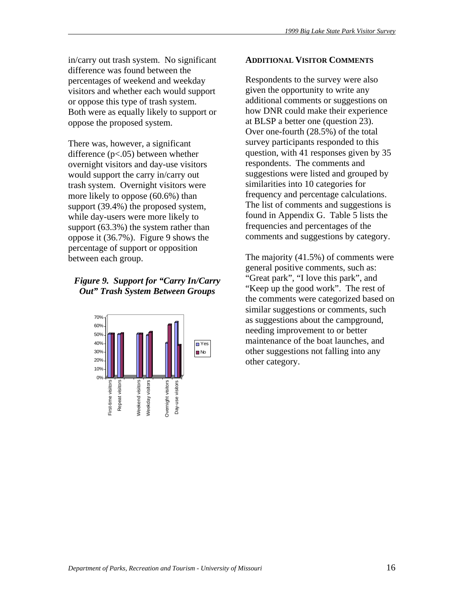in/carry out trash system. No significant difference was found between the percentages of weekend and weekday visitors and whether each would support or oppose this type of trash system. Both were as equally likely to support or oppose the proposed system.

There was, however, a significant difference (p<.05) between whether overnight visitors and day-use visitors would support the carry in/carry out trash system. Overnight visitors were more likely to oppose (60.6%) than support (39.4%) the proposed system, while day-users were more likely to support (63.3%) the system rather than oppose it (36.7%). Figure 9 shows the percentage of support or opposition between each group.

# *Figure 9. Support for "Carry In/Carry Out" Trash System Between Groups*



#### **ADDITIONAL VISITOR COMMENTS**

Respondents to the survey were also given the opportunity to write any additional comments or suggestions on how DNR could make their experience at BLSP a better one (question 23). Over one-fourth (28.5%) of the total survey participants responded to this question, with 41 responses given by 35 respondents. The comments and suggestions were listed and grouped by similarities into 10 categories for frequency and percentage calculations. The list of comments and suggestions is found in Appendix G. Table 5 lists the frequencies and percentages of the comments and suggestions by category.

The majority (41.5%) of comments were general positive comments, such as: "Great park", "I love this park", and "Keep up the good work". The rest of the comments were categorized based on similar suggestions or comments, such as suggestions about the campground, needing improvement to or better maintenance of the boat launches, and other suggestions not falling into any other category.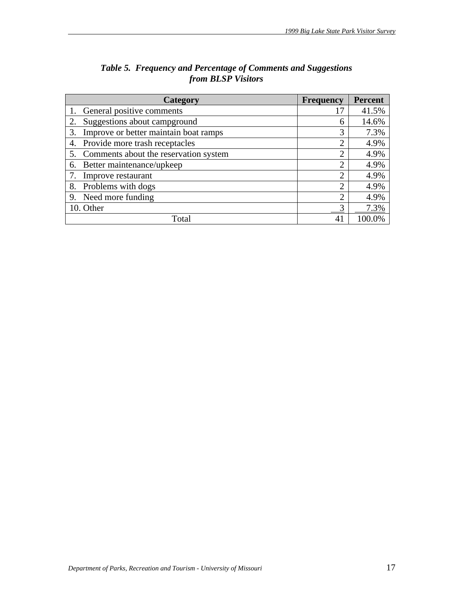| Category                                    | <b>Frequency</b> | <b>Percent</b> |
|---------------------------------------------|------------------|----------------|
| General positive comments                   |                  | 41.5%          |
| Suggestions about campground<br>2.          | 6                | 14.6%          |
| Improve or better maintain boat ramps<br>3. | 3                | 7.3%           |
| Provide more trash receptacles<br>4.        | $\overline{2}$   | 4.9%           |
| Comments about the reservation system       | $\overline{2}$   | 4.9%           |
| Better maintenance/upkeep<br>6.             | $\overline{2}$   | 4.9%           |
| Improve restaurant                          | $\overline{2}$   | 4.9%           |
| Problems with dogs<br>8.                    | $\overline{2}$   | 4.9%           |
| Need more funding<br>9.                     | っ                | 4.9%           |
| 10. Other                                   |                  | 7.3%           |
| Total                                       | 4                | 100.0%         |

| Table 5. Frequency and Percentage of Comments and Suggestions |
|---------------------------------------------------------------|
| from <b>BLSP</b> Visitors                                     |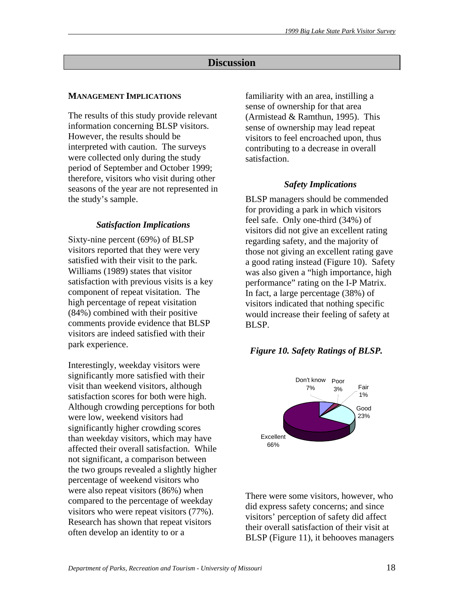# **Discussion**

## **MANAGEMENT IMPLICATIONS**

The results of this study provide relevant information concerning BLSP visitors. However, the results should be interpreted with caution. The surveys were collected only during the study period of September and October 1999; therefore, visitors who visit during other seasons of the year are not represented in the study's sample.

# *Satisfaction Implications*

Sixty-nine percent (69%) of BLSP visitors reported that they were very satisfied with their visit to the park. Williams (1989) states that visitor satisfaction with previous visits is a key component of repeat visitation. The high percentage of repeat visitation (84%) combined with their positive comments provide evidence that BLSP visitors are indeed satisfied with their park experience.

Interestingly, weekday visitors were significantly more satisfied with their visit than weekend visitors, although satisfaction scores for both were high. Although crowding perceptions for both were low, weekend visitors had significantly higher crowding scores than weekday visitors, which may have affected their overall satisfaction. While not significant, a comparison between the two groups revealed a slightly higher percentage of weekend visitors who were also repeat visitors (86%) when compared to the percentage of weekday visitors who were repeat visitors (77%). Research has shown that repeat visitors often develop an identity to or a

familiarity with an area, instilling a sense of ownership for that area (Armistead & Ramthun, 1995). This sense of ownership may lead repeat visitors to feel encroached upon, thus contributing to a decrease in overall satisfaction.

# *Safety Implications*

BLSP managers should be commended for providing a park in which visitors feel safe. Only one-third (34%) of visitors did not give an excellent rating regarding safety, and the majority of those not giving an excellent rating gave a good rating instead (Figure 10). Safety was also given a "high importance, high performance" rating on the I-P Matrix. In fact, a large percentage (38%) of visitors indicated that nothing specific would increase their feeling of safety at BLSP.

### *Figure 10. Safety Ratings of BLSP.*



There were some visitors, however, who did express safety concerns; and since visitors' perception of safety did affect their overall satisfaction of their visit at BLSP (Figure 11), it behooves managers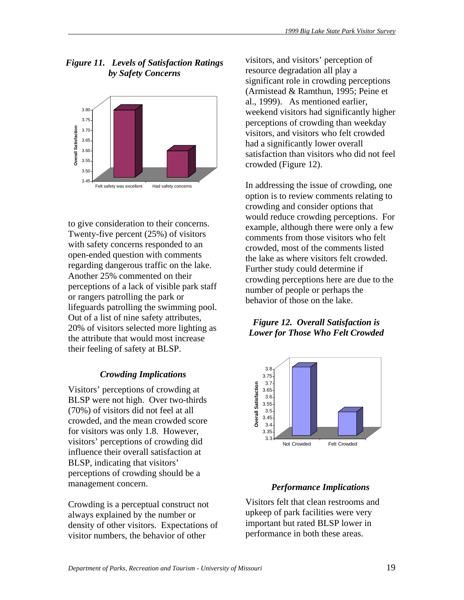# *Figure 11. Levels of Satisfaction Ratings by Safety Concerns*



to give consideration to their concerns. Twenty-five percent (25%) of visitors with safety concerns responded to an open-ended question with comments regarding dangerous traffic on the lake. Another 25% commented on their perceptions of a lack of visible park staff or rangers patrolling the park or lifeguards patrolling the swimming pool. Out of a list of nine safety attributes, 20% of visitors selected more lighting as the attribute that would most increase their feeling of safety at BLSP.

# *Crowding Implications*

Visitors' perceptions of crowding at BLSP were not high. Over two-thirds (70%) of visitors did not feel at all crowded, and the mean crowded score for visitors was only 1.8. However, visitors' perceptions of crowding did influence their overall satisfaction at BLSP, indicating that visitors' perceptions of crowding should be a management concern.

Crowding is a perceptual construct not always explained by the number or density of other visitors. Expectations of visitor numbers, the behavior of other

visitors, and visitors' perception of resource degradation all play a significant role in crowding perceptions (Armistead & Ramthun, 1995; Peine et al., 1999). As mentioned earlier, weekend visitors had significantly higher perceptions of crowding than weekday visitors, and visitors who felt crowded had a significantly lower overall satisfaction than visitors who did not feel crowded (Figure 12).

In addressing the issue of crowding, one option is to review comments relating to crowding and consider options that would reduce crowding perceptions. For example, although there were only a few comments from those visitors who felt crowded, most of the comments listed the lake as where visitors felt crowded. Further study could determine if crowding perceptions here are due to the number of people or perhaps the behavior of those on the lake.

# *Figure 12. Overall Satisfaction is Lower for Those Who Felt Crowded*



# *Performance Implications*

Visitors felt that clean restrooms and upkeep of park facilities were very important but rated BLSP lower in performance in both these areas.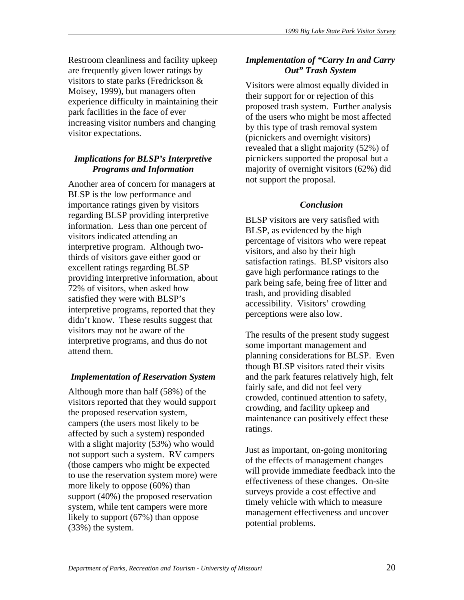Restroom cleanliness and facility upkeep are frequently given lower ratings by visitors to state parks (Fredrickson & Moisey, 1999), but managers often experience difficulty in maintaining their park facilities in the face of ever increasing visitor numbers and changing visitor expectations.

# *Implications for BLSP's Interpretive Programs and Information*

Another area of concern for managers at BLSP is the low performance and importance ratings given by visitors regarding BLSP providing interpretive information. Less than one percent of visitors indicated attending an interpretive program. Although twothirds of visitors gave either good or excellent ratings regarding BLSP providing interpretive information, about 72% of visitors, when asked how satisfied they were with BLSP's interpretive programs, reported that they didn't know. These results suggest that visitors may not be aware of the interpretive programs, and thus do not attend them.

# *Implementation of Reservation System*

Although more than half (58%) of the visitors reported that they would support the proposed reservation system, campers (the users most likely to be affected by such a system) responded with a slight majority (53%) who would not support such a system. RV campers (those campers who might be expected to use the reservation system more) were more likely to oppose (60%) than support (40%) the proposed reservation system, while tent campers were more likely to support (67%) than oppose (33%) the system.

# *Implementation of "Carry In and Carry Out" Trash System*

Visitors were almost equally divided in their support for or rejection of this proposed trash system. Further analysis of the users who might be most affected by this type of trash removal system (picnickers and overnight visitors) revealed that a slight majority (52%) of picnickers supported the proposal but a majority of overnight visitors (62%) did not support the proposal.

# *Conclusion*

BLSP visitors are very satisfied with BLSP, as evidenced by the high percentage of visitors who were repeat visitors, and also by their high satisfaction ratings. BLSP visitors also gave high performance ratings to the park being safe, being free of litter and trash, and providing disabled accessibility. Visitors' crowding perceptions were also low.

The results of the present study suggest some important management and planning considerations for BLSP. Even though BLSP visitors rated their visits and the park features relatively high, felt fairly safe, and did not feel very crowded, continued attention to safety, crowding, and facility upkeep and maintenance can positively effect these ratings.

Just as important, on-going monitoring of the effects of management changes will provide immediate feedback into the effectiveness of these changes. On-site surveys provide a cost effective and timely vehicle with which to measure management effectiveness and uncover potential problems.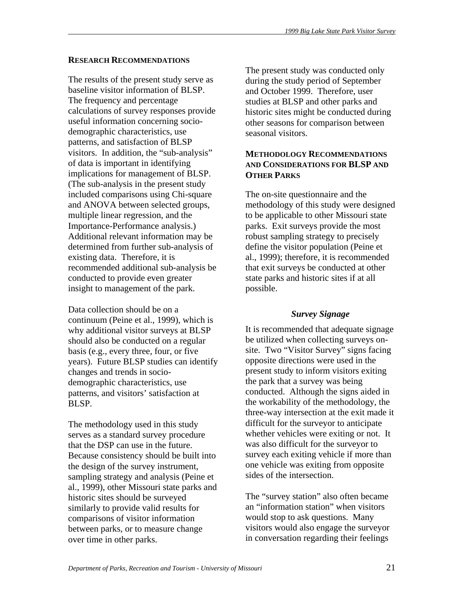#### **RESEARCH RECOMMENDATIONS**

The results of the present study serve as baseline visitor information of BLSP. The frequency and percentage calculations of survey responses provide useful information concerning sociodemographic characteristics, use patterns, and satisfaction of BLSP visitors. In addition, the "sub-analysis" of data is important in identifying implications for management of BLSP. (The sub-analysis in the present study included comparisons using Chi-square and ANOVA between selected groups, multiple linear regression, and the Importance-Performance analysis.) Additional relevant information may be determined from further sub-analysis of existing data. Therefore, it is recommended additional sub-analysis be conducted to provide even greater insight to management of the park.

Data collection should be on a continuum (Peine et al., 1999), which is why additional visitor surveys at BLSP should also be conducted on a regular basis (e.g., every three, four, or five years). Future BLSP studies can identify changes and trends in sociodemographic characteristics, use patterns, and visitors' satisfaction at BLSP.

The methodology used in this study serves as a standard survey procedure that the DSP can use in the future. Because consistency should be built into the design of the survey instrument, sampling strategy and analysis (Peine et al., 1999), other Missouri state parks and historic sites should be surveyed similarly to provide valid results for comparisons of visitor information between parks, or to measure change over time in other parks.

The present study was conducted only during the study period of September and October 1999. Therefore, user studies at BLSP and other parks and historic sites might be conducted during other seasons for comparison between seasonal visitors.

# **METHODOLOGY RECOMMENDATIONS AND CONSIDERATIONS FOR BLSP AND OTHER PARKS**

The on-site questionnaire and the methodology of this study were designed to be applicable to other Missouri state parks. Exit surveys provide the most robust sampling strategy to precisely define the visitor population (Peine et al., 1999); therefore, it is recommended that exit surveys be conducted at other state parks and historic sites if at all possible.

### *Survey Signage*

It is recommended that adequate signage be utilized when collecting surveys onsite. Two "Visitor Survey" signs facing opposite directions were used in the present study to inform visitors exiting the park that a survey was being conducted. Although the signs aided in the workability of the methodology, the three-way intersection at the exit made it difficult for the surveyor to anticipate whether vehicles were exiting or not. It was also difficult for the surveyor to survey each exiting vehicle if more than one vehicle was exiting from opposite sides of the intersection.

The "survey station" also often became an "information station" when visitors would stop to ask questions. Many visitors would also engage the surveyor in conversation regarding their feelings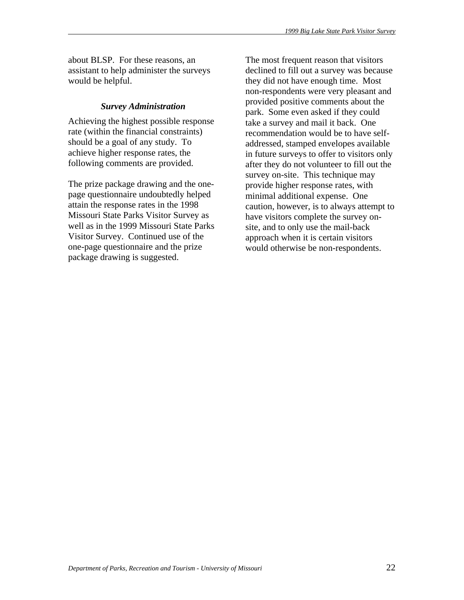about BLSP. For these reasons, an assistant to help administer the surveys would be helpful.

# *Survey Administration*

Achieving the highest possible response rate (within the financial constraints) should be a goal of any study. To achieve higher response rates, the following comments are provided.

The prize package drawing and the onepage questionnaire undoubtedly helped attain the response rates in the 1998 Missouri State Parks Visitor Survey as well as in the 1999 Missouri State Parks Visitor Survey. Continued use of the one-page questionnaire and the prize package drawing is suggested.

The most frequent reason that visitors declined to fill out a survey was because they did not have enough time. Most non-respondents were very pleasant and provided positive comments about the park. Some even asked if they could take a survey and mail it back. One recommendation would be to have selfaddressed, stamped envelopes available in future surveys to offer to visitors only after they do not volunteer to fill out the survey on-site. This technique may provide higher response rates, with minimal additional expense. One caution, however, is to always attempt to have visitors complete the survey onsite, and to only use the mail-back approach when it is certain visitors would otherwise be non-respondents.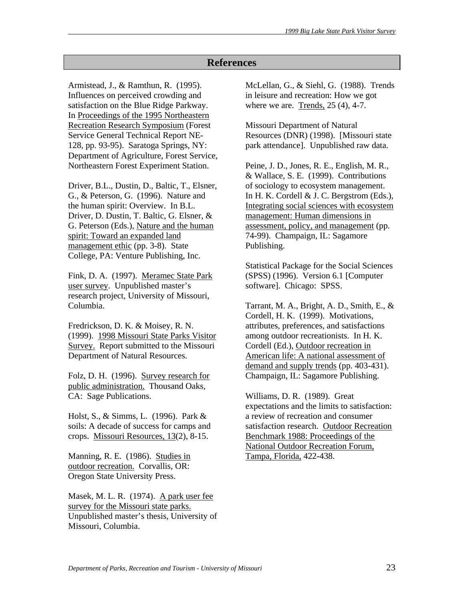# **References**

Armistead, J., & Ramthun, R. (1995). Influences on perceived crowding and satisfaction on the Blue Ridge Parkway. In Proceedings of the 1995 Northeastern Recreation Research Symposium (Forest Service General Technical Report NE-128, pp. 93-95). Saratoga Springs, NY: Department of Agriculture, Forest Service, Northeastern Forest Experiment Station.

Driver, B.L., Dustin, D., Baltic, T., Elsner, G., & Peterson, G. (1996). Nature and the human spirit: Overview. In B.L. Driver, D. Dustin, T. Baltic, G. Elsner, & G. Peterson (Eds.), Nature and the human spirit: Toward an expanded land management ethic (pp. 3-8). State College, PA: Venture Publishing, Inc.

Fink, D. A. (1997). Meramec State Park user survey. Unpublished master's research project, University of Missouri, Columbia.

Fredrickson, D. K. & Moisey, R. N. (1999). 1998 Missouri State Parks Visitor Survey. Report submitted to the Missouri Department of Natural Resources.

Folz, D. H. (1996). Survey research for public administration. Thousand Oaks, CA: Sage Publications.

Holst, S., & Simms, L. (1996). Park & soils: A decade of success for camps and crops. Missouri Resources, 13(2), 8-15.

Manning, R. E. (1986). Studies in outdoor recreation. Corvallis, OR: Oregon State University Press.

Masek, M. L. R. (1974). A park user fee survey for the Missouri state parks. Unpublished master's thesis, University of Missouri, Columbia.

McLellan, G., & Siehl, G. (1988). Trends in leisure and recreation: How we got where we are. Trends, 25 (4), 4-7.

Missouri Department of Natural Resources (DNR) (1998). [Missouri state park attendance]. Unpublished raw data.

Peine, J. D., Jones, R. E., English, M. R., & Wallace, S. E. (1999). Contributions of sociology to ecosystem management. In H. K. Cordell & J. C. Bergstrom (Eds.), Integrating social sciences with ecosystem management: Human dimensions in assessment, policy, and management (pp. 74-99). Champaign, IL: Sagamore Publishing.

Statistical Package for the Social Sciences (SPSS) (1996). Version 6.1 [Computer software]. Chicago: SPSS.

Tarrant, M. A., Bright, A. D., Smith, E., & Cordell, H. K. (1999). Motivations, attributes, preferences, and satisfactions among outdoor recreationists. In H. K. Cordell (Ed.), Outdoor recreation in American life: A national assessment of demand and supply trends (pp. 403-431). Champaign, IL: Sagamore Publishing.

Williams, D. R. (1989). Great expectations and the limits to satisfaction: a review of recreation and consumer satisfaction research. Outdoor Recreation Benchmark 1988: Proceedings of the National Outdoor Recreation Forum, Tampa, Florida, 422-438.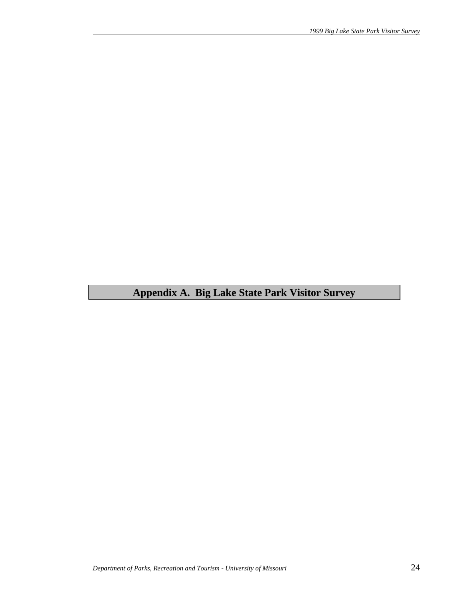# **Appendix A. Big Lake State Park Visitor Survey**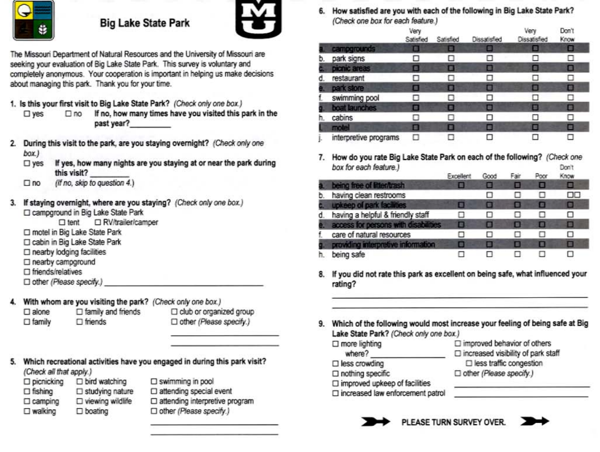

# **Big Lake State Park**



The Missouri Department of Natural Resources and the University of Missouri are seeking your evaluation of Big Lake State Park. This survey is voluntary and completely anonymous. Your cooperation is important in helping us make decisions about managing this park. Thank you for your time.

- 1. Is this your first visit to Big Lake State Park? (Check only one box.)
	- $\Box$  no If no, how many times have you visited this park in the  $\square$  ves past year?
- 2. During this visit to the park, are you staying overnight? (Check only one  $box)$ 
	- If yes, how many nights are you staying at or near the park during  $\square$  yes this visit?
	- (If no. skip to question 4.)  $\Box$ no
- 3. If staying overnight, where are you staying? (Check only one box.) □ campground in Big Lake State Park
	- □ tent □ RV/trailer/camper
	- motel in Big Lake State Park
	- Cabin in Big Lake State Park
	- $\square$  nearby lodging facilities
	- mearby campground  $\square$  friends/relatives
	-
	- □ other (Please specify.)
- 4. With whom are you visiting the park? (Check only one box.)  $\square$  family and friends
	- $\square$  alone  $\square$  family  $\Box$  friends
- I club or organized group □ other (Please specify.)
- 5. Which recreational activities have you engaged in during this park visit? (Check all that apply.)

| picnicking        | $\square$ bird watching    | $\square$ swimming in pool   |
|-------------------|----------------------------|------------------------------|
| $\Box$ fishing    | $\square$ studying nature  | □ attending special          |
| $\Box$ camping    | $\square$ viewing wildlife | $\square$ attending interpre |
| $\square$ walking | $\Box$ boating             | □ other (Please spe          |

ding special event ding interpretive program (Please specify.)

6. How satisfied are you with each of the following in Big Lake State Park? (Check one box for each feature)

|    | - 1770-1880 ABA PAGBADA ANG TABUPANG MG | Very<br>Satisfied | $-$<br>Satisfied | Dissatisfied   | Very<br>Dissatisfied | Don't<br>Know |
|----|-----------------------------------------|-------------------|------------------|----------------|----------------------|---------------|
|    | campgrounds                             | п                 | в                |                | ⊟                    | о             |
| b  | park signs                              |                   | п                |                | ◻                    | ⊔             |
|    | picnic areas                            | 扁                 | П                | п              | о                    | о             |
| a  | restaurant                              | п                 |                  |                | □                    | □             |
|    | park store                              | 長                 | Ξ                |                | о                    | 0             |
|    | swimming pool                           |                   | n                |                | ш                    | □             |
|    | boat launches                           |                   | ▣                | $\blacksquare$ | ⊟                    | ▣             |
| ħ. | cabins                                  |                   |                  |                | п                    | ы             |
|    | motel                                   | ▣                 | О                | O              | ▬                    | П             |
|    | interpretive programs                   |                   |                  |                | ப                    |               |

7. How do you rate Big Lake State Park on each of the following? (Check one box for each feature.) Don't

|    |                                      | Excellent | Good | Fair | Poor | Know |
|----|--------------------------------------|-----------|------|------|------|------|
|    | being free of litter/trash           |           |      |      | E    | ш    |
| D. | having clean restrooms               |           |      |      | □    | DО   |
|    | upkeep of park facilities            | 画         |      |      | ▣    | o    |
|    | having a helpful & friendly staff    |           |      |      | . .  |      |
|    | access for persons with disabilities | B         |      | ш    | Ð    | 目    |
|    | care of natural resources            |           |      |      | п    |      |
|    | providing interpretive information   |           |      | ٠    | о    | н    |
|    | being safe                           |           |      |      |      |      |

- 8. If you did not rate this park as excellent on being safe, what influenced your rating?
- 9. Which of the following would most increase your feeling of being safe at Big Lake State Park? (Check only one box.)

| $\Box$ more lighting<br>where?          | $\Box$ improved behavior of others<br>$\square$ increased visibility of park staff |
|-----------------------------------------|------------------------------------------------------------------------------------|
| $\Box$ less crowding                    | □ less traffic congestion                                                          |
| $\Box$ nothing specific                 | □ other (Please specify.)                                                          |
| $\square$ improved upkeep of facilities |                                                                                    |
| □ increased law enforcement patrol      |                                                                                    |



PLEASE TURN SURVEY OVER.

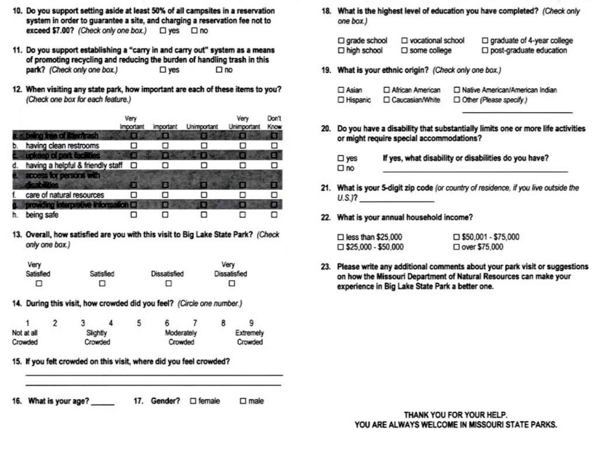- 10. Do you support setting aside at least 50% of all campsites in a reservation system in order to guarantee a site, and charging a reservation fee not to exceed \$7.00? (Check only one box.) □ yes □ no
- 11. Do you support establishing a "carry in and carry out" system as a means of promoting recycling and reducing the burden of handling trash in this park? (Check only one box.)  $\square$  yes  $\Box$ no
- 12. When visiting any state park, how important are each of these items to you? (Check one box for each feature.)

|    |                                       | Very<br>Important | <i><b>Important</b></i> | Unimportant | Very<br>Unimportant | Don't<br>Know |
|----|---------------------------------------|-------------------|-------------------------|-------------|---------------------|---------------|
|    | being free of litter/trash            |                   |                         |             | n                   |               |
| b. | having clean restrooms                |                   |                         |             |                     |               |
|    | upkeep of park facilities             |                   |                         |             |                     |               |
| đ. | having a helpful & friendly staff     | □                 |                         |             |                     |               |
|    | access for persons with<br>$-20.11$   |                   |                         |             |                     |               |
|    | care of natural resources             |                   | п                       |             |                     |               |
|    | <b>Contempt evierpretive</b> provided |                   | Ø                       |             | 图                   |               |
| h. | being safe                            |                   |                         |             |                     |               |

13. Overall, how satisfied are you with this visit to Big Lake State Park? (Check only one box.)

| Very      |           |              | Very                |
|-----------|-----------|--------------|---------------------|
| Satisfied | Satisfied | Dissatisfied | <b>Dissatisfied</b> |
| о         | ш         | U            | ▫                   |

14. During this visit, how crowded did you feel? (Circle one number.)

|            |  |          |         | 5          |  |           |  | 9       |
|------------|--|----------|---------|------------|--|-----------|--|---------|
| Not at all |  | Slightly |         | Moderately |  | Extremely |  |         |
| Crowded    |  |          | Crowded |            |  | Crowded   |  | Crowded |

15. If you felt crowded on this visit, where did you feel crowded?

16. What is your age? 17. Gender? 
<sub>□</sub> female  $\square$  male 18. What is the highest level of education you have completed? (Check only one box.)

| $\square$ grade school | □ vocational school    | $\Box$ graduate of 4-year college |
|------------------------|------------------------|-----------------------------------|
| □ high school          | $\square$ some college | □ post-graduate education         |

19. What is your ethnic origin? (Check only one box.)

| $\Box$ Asian | African American  | Native American/American Indian |
|--------------|-------------------|---------------------------------|
| □ Hispanic   | □ Caucasian/White | Other (Please specify.)         |

20. Do you have a disability that substantially limits one or more life activities or might require special accommodations?

| $\square$ yes | If yes, what disability or disabilities do you have? |
|---------------|------------------------------------------------------|
| $\square$ no  |                                                      |

- 21. What is your 5-digit zip code (or country of residence, if you live outside the  $U.S.P.$
- 22. What is your annual household income?

| $\Box$ less than \$25,000  | $\square$ \$50,001 - \$75,000 |
|----------------------------|-------------------------------|
| $\Box$ \$25,000 - \$50,000 | □ over \$75,000               |

23. Please write any additional comments about your park visit or suggestions on how the Missouri Department of Natural Resources can make your experience in Big Lake State Park a better one.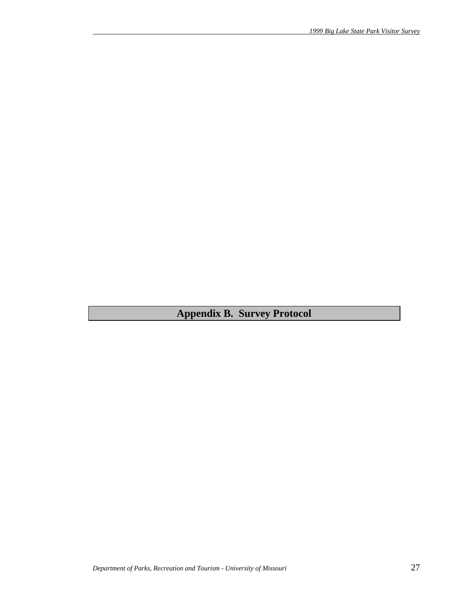**Appendix B. Survey Protocol**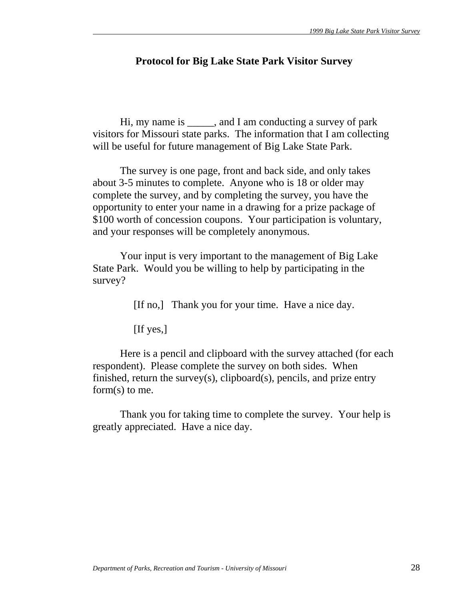# **Protocol for Big Lake State Park Visitor Survey**

 Hi, my name is \_\_\_\_\_, and I am conducting a survey of park visitors for Missouri state parks. The information that I am collecting will be useful for future management of Big Lake State Park.

 The survey is one page, front and back side, and only takes about 3-5 minutes to complete. Anyone who is 18 or older may complete the survey, and by completing the survey, you have the opportunity to enter your name in a drawing for a prize package of \$100 worth of concession coupons. Your participation is voluntary, and your responses will be completely anonymous.

 Your input is very important to the management of Big Lake State Park. Would you be willing to help by participating in the survey?

[If no,] Thank you for your time. Have a nice day.

[If yes,]

 Here is a pencil and clipboard with the survey attached (for each respondent). Please complete the survey on both sides. When finished, return the survey(s), clipboard(s), pencils, and prize entry form(s) to me.

 Thank you for taking time to complete the survey. Your help is greatly appreciated. Have a nice day.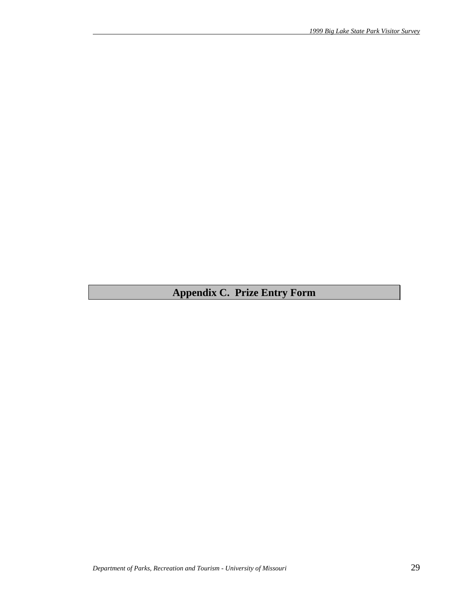# **Appendix C. Prize Entry Form**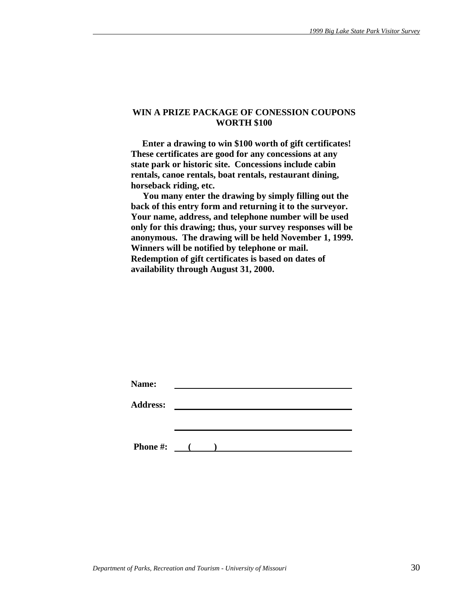#### **WIN A PRIZE PACKAGE OF CONESSION COUPONS WORTH \$100**

 **Enter a drawing to win \$100 worth of gift certificates! These certificates are good for any concessions at any state park or historic site. Concessions include cabin rentals, canoe rentals, boat rentals, restaurant dining, horseback riding, etc.** 

 **You many enter the drawing by simply filling out the back of this entry form and returning it to the surveyor. Your name, address, and telephone number will be used only for this drawing; thus, your survey responses will be anonymous. The drawing will be held November 1, 1999. Winners will be notified by telephone or mail. Redemption of gift certificates is based on dates of availability through August 31, 2000.** 

| Name:           |                     |  |  |  |
|-----------------|---------------------|--|--|--|
| <b>Address:</b> |                     |  |  |  |
|                 |                     |  |  |  |
|                 |                     |  |  |  |
| <b>Phone #:</b> | $\sim$ 1.000 $\sim$ |  |  |  |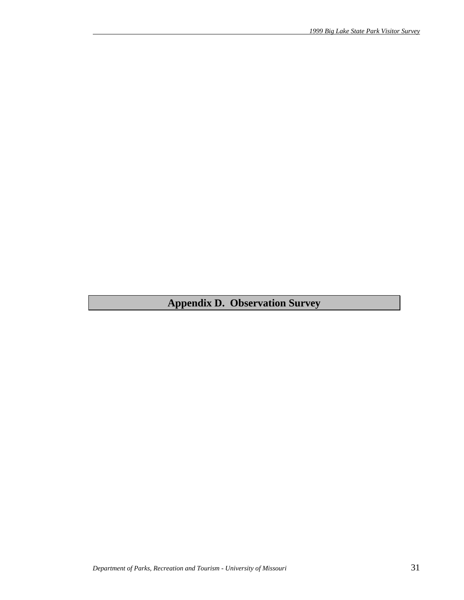# **Appendix D. Observation Survey**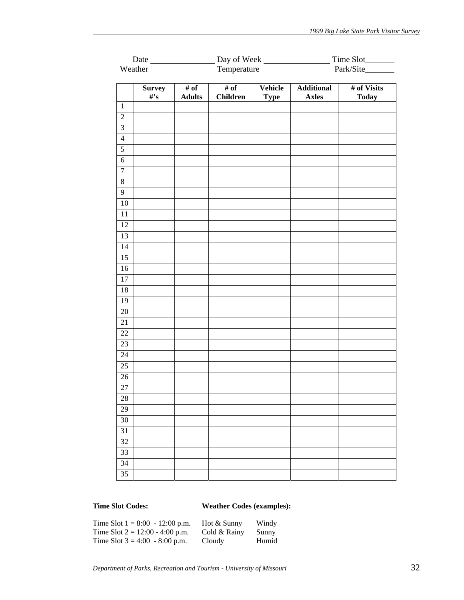|                 |                          | Weather Temperature Fernandezer Park/Site |                 |             |                   |              |  |  |
|-----------------|--------------------------|-------------------------------------------|-----------------|-------------|-------------------|--------------|--|--|
|                 |                          |                                           |                 |             |                   |              |  |  |
|                 | <b>Survey</b>            | $\overline{\# \text{ of }}$               | # of            | Vehicle     | <b>Additional</b> | # of Visits  |  |  |
|                 | $\#^{\bullet}\mathbf{s}$ | <b>Adults</b>                             | <b>Children</b> | <b>Type</b> | <b>Axles</b>      | <b>Today</b> |  |  |
| $\mathbf 1$     |                          |                                           |                 |             |                   |              |  |  |
| $\sqrt{2}$      |                          |                                           |                 |             |                   |              |  |  |
| $\overline{3}$  |                          |                                           |                 |             |                   |              |  |  |
| $\overline{4}$  |                          |                                           |                 |             |                   |              |  |  |
| $\overline{5}$  |                          |                                           |                 |             |                   |              |  |  |
| $\sqrt{6}$      |                          |                                           |                 |             |                   |              |  |  |
| $\overline{7}$  |                          |                                           |                 |             |                   |              |  |  |
| $\overline{8}$  |                          |                                           |                 |             |                   |              |  |  |
| $\overline{9}$  |                          |                                           |                 |             |                   |              |  |  |
| $10\,$          |                          |                                           |                 |             |                   |              |  |  |
| 11              |                          |                                           |                 |             |                   |              |  |  |
| $\overline{12}$ |                          |                                           |                 |             |                   |              |  |  |
| 13              |                          |                                           |                 |             |                   |              |  |  |
| 14              |                          |                                           |                 |             |                   |              |  |  |
| $\overline{15}$ |                          |                                           |                 |             |                   |              |  |  |
| 16              |                          |                                           |                 |             |                   |              |  |  |
| 17              |                          |                                           |                 |             |                   |              |  |  |
| $18\,$          |                          |                                           |                 |             |                   |              |  |  |
| 19              |                          |                                           |                 |             |                   |              |  |  |
| $20\,$          |                          |                                           |                 |             |                   |              |  |  |
| 21              |                          |                                           |                 |             |                   |              |  |  |
| $22\,$          |                          |                                           |                 |             |                   |              |  |  |
| 23              |                          |                                           |                 |             |                   |              |  |  |
| 24              |                          |                                           |                 |             |                   |              |  |  |
| $\overline{25}$ |                          |                                           |                 |             |                   |              |  |  |
| $26\,$          |                          |                                           |                 |             |                   |              |  |  |
| $\overline{27}$ |                          |                                           |                 |             |                   |              |  |  |
| 28              |                          |                                           |                 |             |                   |              |  |  |
| 29              |                          |                                           |                 |             |                   |              |  |  |
| 30              |                          |                                           |                 |             |                   |              |  |  |
| 31              |                          |                                           |                 |             |                   |              |  |  |
| 32              |                          |                                           |                 |             |                   |              |  |  |
| 33              |                          |                                           |                 |             |                   |              |  |  |
| 34              |                          |                                           |                 |             |                   |              |  |  |
| 35              |                          |                                           |                 |             |                   |              |  |  |
|                 |                          |                                           |                 |             |                   |              |  |  |

# **Time Slot Codes: Weather Codes (examples):**

| Time Slot $1 = 8:00 - 12:00$ p.m. | Hot & Sunny  | Windy |
|-----------------------------------|--------------|-------|
| Time Slot $2 = 12:00 - 4:00$ p.m. | Cold & Rainy | Sunny |
| Time Slot $3 = 4:00 - 8:00$ p.m.  | Cloudy       | Humid |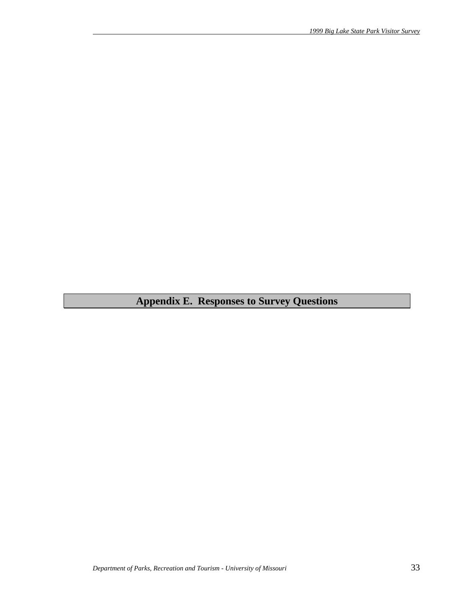# **Appendix E. Responses to Survey Questions**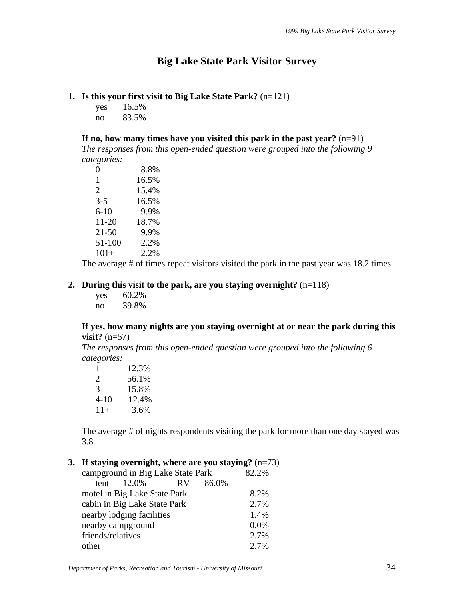# **Big Lake State Park Visitor Survey**

#### **1. Is this your first visit to Big Lake State Park?** (n=121)

yes 16.5% no 83.5%

**If no, how many times have you visited this park in the past year?** (n=91)

*The responses from this open-ended question were grouped into the following 9 categories:*

| 0                     | 8.8%  |
|-----------------------|-------|
| 1                     | 16.5% |
| $\mathcal{D}_{\cdot}$ | 15.4% |
| $3-5$                 | 16.5% |
| $6 - 10$              | 9.9%  |
| $11 - 20$             | 18.7% |
| $21 - 50$             | 9.9%  |
| 51-100                | 2.2%  |
| $101 +$               | 2.2%  |

The average # of times repeat visitors visited the park in the past year was 18.2 times.

#### **2. During this visit to the park, are you staying overnight?** (n=118)

| yes | 60.2% |
|-----|-------|
| no  | 39.8% |

#### **If yes, how many nights are you staying overnight at or near the park during this visit?** (n=57)

*The responses from this open-ended question were grouped into the following 6 categories:*

| 1     | 12.3% |
|-------|-------|
| 2     | 56.1% |
| 3     | 15.8% |
| 4-10  | 12.4% |
| $11+$ | 3.6%  |

The average # of nights respondents visiting the park for more than one day stayed was 3.8.

# **3. If staying overnight, where are you staying?** (n=73)

| campground in Big Lake State Park | 82.2% |           |       |      |
|-----------------------------------|-------|-----------|-------|------|
| tent                              | 12.0% | <b>RV</b> | 86.0% |      |
| motel in Big Lake State Park      |       |           |       | 8.2% |
| cabin in Big Lake State Park      |       |           |       | 2.7% |
| nearby lodging facilities         |       |           |       | 1.4% |
| nearby campground                 |       |           |       | 0.0% |
| friends/relatives                 |       |           |       | 2.7% |
| other                             |       |           |       | 2.7% |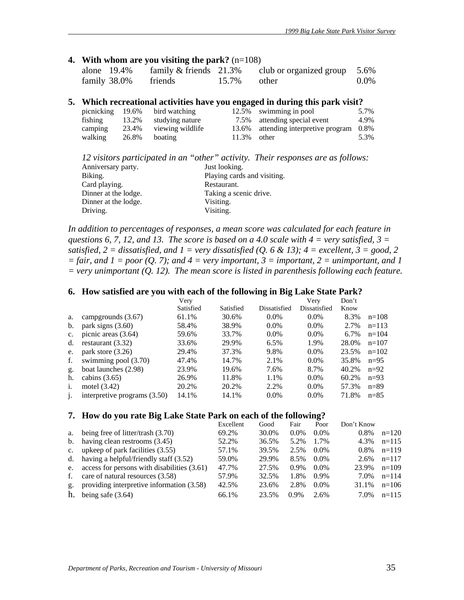#### **4. With whom are you visiting the park?** (n=108)

| alone 19.4%  | family $&$ friends 21.3% |             | club or organized group $5.6\%$ |         |
|--------------|--------------------------|-------------|---------------------------------|---------|
| family 38.0% | friends                  | 15.7% other |                                 | $0.0\%$ |

#### **5. Which recreational activities have you engaged in during this park visit?**

| picnicking 19.6% |       | bird watching    |                | 12.5% swimming in pool               | 5.7% |
|------------------|-------|------------------|----------------|--------------------------------------|------|
| fishing          | 13.2% | studying nature  |                | 7.5% attending special event         | 4.9% |
| camping          | 23.4% | viewing wildlife |                | 13.6% attending interpretive program | 0.8% |
| walking          | 26.8% | boating          | $11.3\%$ other |                                      | 5.3% |

|                      | 12 visitors participated in an "other" activity. Their responses are as follows: |
|----------------------|----------------------------------------------------------------------------------|
| Anniversary party.   | Just looking.                                                                    |
| Biking.              | Playing cards and visiting.                                                      |
| Card playing.        | Restaurant.                                                                      |
| Dinner at the lodge. | Taking a scenic drive.                                                           |
| Dinner at the lodge. | Visiting.                                                                        |
| Driving.             | Visiting.                                                                        |

*In addition to percentages of responses, a mean score was calculated for each feature in questions 6, 7, 12, and 13. The score is based on a 4.0 scale with 4 = very satisfied, 3 = satisfied, 2 = dissatisfied, and 1 = very dissatisfied (Q. 6 & 13); 4 = excellent, 3 = good, 2*  $=$  fair, and  $1 =$  poor  $(Q, 7)$ ; and  $4 =$  very important,  $3 =$  important,  $2 =$  unimportant, and  $1$ *= very unimportant (Q. 12). The mean score is listed in parenthesis following each feature.* 

#### **6. How satisfied are you with each of the following in Big Lake State Park?**

|                              | Very      |           |              | Very         | Don't |          |
|------------------------------|-----------|-----------|--------------|--------------|-------|----------|
|                              | Satisfied | Satisfied | Dissatisfied | Dissatisfied | Know  |          |
| campgrounds (3.67)           | 61.1%     | 30.6%     | $0.0\%$      | $0.0\%$      | 8.3%  | $n=108$  |
| park signs $(3.60)$          | 58.4%     | 38.9%     | $0.0\%$      | $0.0\%$      | 2.7%  | $n=113$  |
| picnic areas $(3.64)$        | 59.6%     | 33.7%     | $0.0\%$      | $0.0\%$      | 6.7%  | $n=104$  |
| restaurant $(3.32)$          | 33.6%     | 29.9%     | 6.5%         | 1.9%         | 28.0% | $n=107$  |
| park store $(3.26)$          | 29.4%     | 37.3%     | 9.8%         | $0.0\%$      | 23.5% | $n=102$  |
| swimming pool (3.70)         | 47.4%     | 14.7%     | 2.1%         | $0.0\%$      | 35.8% | $n=95$   |
| boat launches (2.98)         | 23.9%     | 19.6%     | 7.6%         | 8.7%         | 40.2% | $n=92$   |
| cabins $(3.65)$              | 26.9%     | 11.8%     | 1.1%         | $0.0\%$      | 60.2% | $n=93$   |
| motel $(3.42)$               | 20.2%     | 20.2%     | 2.2%         | $0.0\%$      | 57.3% | $n = 89$ |
| interpretive programs (3.50) | 14.1%     | 14.1%     | $0.0\%$      | $0.0\%$      | 71.8% | $n=85$   |
|                              |           |           |              |              |       |          |

#### **7. How do you rate Big Lake State Park on each of the following?**

|    |                                                  | Excellent | Good  | Fair    | Poor    | Don't Know |         |
|----|--------------------------------------------------|-----------|-------|---------|---------|------------|---------|
| a. | being free of litter/trash (3.70)                | 69.2%     | 30.0% | $0.0\%$ | $0.0\%$ | $0.8\%$    | $n=120$ |
|    | b. having clean restrooms $(3.45)$               | 52.2%     | 36.5% | 5.2%    | 1.7%    | 4.3%       | $n=115$ |
|    | c. upkeep of park facilities $(3.55)$            | 57.1%     | 39.5% | 2.5%    | $0.0\%$ | $0.8\%$    | $n=119$ |
|    | d. having a helpful/friendly staff $(3.52)$      | 59.0%     | 29.9% | 8.5%    | $0.0\%$ | 2.6%       | $n=117$ |
|    | e. access for persons with disabilities $(3.61)$ | 47.7%     | 27.5% | $0.9\%$ | $0.0\%$ | 23.9%      | $n=109$ |
| f. | care of natural resources (3.58)                 | 57.9%     | 32.5% | 1.8%    | $0.9\%$ | 7.0%       | $n=114$ |
|    | g. providing interpretive information (3.58)     | 42.5%     | 23.6% | 2.8%    | $0.0\%$ | 31.1%      | $n=106$ |
| h. | being safe $(3.64)$                              | 66.1%     | 23.5% | $0.9\%$ | $2.6\%$ | 7.0%       | $n=115$ |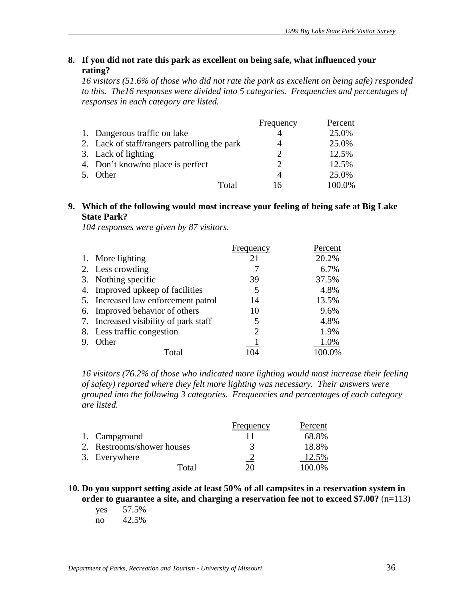# **8. If you did not rate this park as excellent on being safe, what influenced your rating?**

*16 visitors (51.6% of those who did not rate the park as excellent on being safe) responded to this. The16 responses were divided into 5 categories. Frequencies and percentages of responses in each category are listed.* 

|    |                                              | Frequency                   | Percent |
|----|----------------------------------------------|-----------------------------|---------|
|    | 1. Dangerous traffic on lake                 |                             | 25.0%   |
|    | 2. Lack of staff/rangers patrolling the park |                             | 25.0%   |
|    | 3. Lack of lighting                          | $\mathcal{D}_{\mathcal{L}}$ | 12.5%   |
|    | 4. Don't know/no place is perfect            | $\mathcal{D}$               | 12.5%   |
| 5. | Other                                        | $\overline{4}$              | 25.0%   |
|    | Total                                        | 16                          | 100.0%  |

## **9. Which of the following would most increase your feeling of being safe at Big Lake State Park?**

*104 responses were given by 87 visitors.*

|                                       | Frequency | Percent |
|---------------------------------------|-----------|---------|
| 1. More lighting                      | 21        | 20.2%   |
| 2. Less crowding                      |           | 6.7%    |
| 3. Nothing specific                   | 39        | 37.5%   |
| 4. Improved upkeep of facilities      | 5         | 4.8%    |
| 5. Increased law enforcement patrol   | 14        | 13.5%   |
| 6. Improved behavior of others        | 10        | 9.6%    |
| 7. Increased visibility of park staff | 5         | 4.8%    |
| 8. Less traffic congestion            | 2         | 1.9%    |
| Other                                 |           | 1.0%    |
| Total                                 | 104       | 100.0%  |

*16 visitors (76.2% of those who indicated more lighting would most increase their feeling of safety) reported where they felt more lighting was necessary. Their answers were grouped into the following 3 categories. Frequencies and percentages of each category are listed.*

|                            | Frequency | Percent |
|----------------------------|-----------|---------|
| 1. Campground              |           | 68.8%   |
| 2. Restrooms/shower houses | 3         | 18.8%   |
| 3. Everywhere              |           | 12.5%   |
| Total                      | 20        | 100.0%  |

#### **10. Do you support setting aside at least 50% of all campsites in a reservation system in order to guarantee a site, and charging a reservation fee not to exceed \$7.00?** (n=113)

 yes 57.5% no 42.5%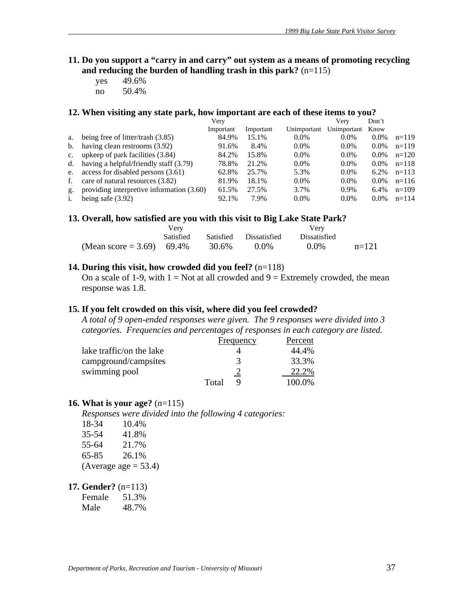- **11. Do you support a "carry in and carry" out system as a means of promoting recycling and reducing the burden of handling trash in this park?** (n=115)
	- yes 49.6% no 50.4%

# **12. When visiting any state park, how important are each of these items to you?**

|                |                                           | Very      |           |             | Verv        | Don't   |         |
|----------------|-------------------------------------------|-----------|-----------|-------------|-------------|---------|---------|
|                |                                           | Important | Important | Unimportant | Unimportant | Know    |         |
| a.             | being free of litter/trash (3.85)         | 84.9%     | 15.1%     | $0.0\%$     | $0.0\%$     | $0.0\%$ | $n=119$ |
| $\mathbf{b}$ . | having clean restrooms (3.92)             | 91.6%     | 8.4%      | $0.0\%$     | $0.0\%$     | $0.0\%$ | $n=119$ |
| $c_{\cdot}$    | upkeep of park facilities (3.84)          | 84.2%     | 15.8%     | $0.0\%$     | $0.0\%$     | $0.0\%$ | $n=120$ |
| d.             | having a helpful/friendly staff (3.79)    | 78.8%     | 21.2%     | $0.0\%$     | $0.0\%$     | $0.0\%$ | $n=118$ |
| e.             | access for disabled persons (3.61)        | 62.8%     | 25.7%     | 5.3%        | $0.0\%$     | $6.2\%$ | $n=113$ |
| f.             | care of natural resources (3.82)          | 81.9%     | 18.1%     | $0.0\%$     | $0.0\%$     | $0.0\%$ | $n=116$ |
| g.             | providing interpretive information (3.60) | 61.5%     | 27.5%     | 3.7%        | 0.9%        | 6.4%    | $n=109$ |
| i.             | being safe $(3.92)$                       | 92.1%     | 7.9%      | $0.0\%$     | $0.0\%$     | $0.0\%$ | $n=114$ |

#### 13. Overall, how satisfied are you with this visit to Big Lake State Park?

|                           | Verv             |       |                        |                     |         |
|---------------------------|------------------|-------|------------------------|---------------------|---------|
|                           | <b>Satisfied</b> |       | Satisfied Dissatisfied | <b>Dissatisfied</b> |         |
| (Mean score = 3.69) 69.4% |                  | 30.6% | $0.0\%$                | $0.0\%$             | $n=121$ |

#### **14. During this visit, how crowded did you feel?** (n=118)

On a scale of 1-9, with  $1 = Not$  at all crowded and  $9 = Extremely$  crowded, the mean response was 1.8.

#### **15. If you felt crowded on this visit, where did you feel crowded?**

*A total of 9 open-ended responses were given. The 9 responses were divided into 3 categories. Frequencies and percentages of responses in each category are listed.* 

|                          | Frequency | Percent |
|--------------------------|-----------|---------|
| lake traffic/on the lake |           | 44.4%   |
| campground/campsites     | 3         | 33.3%   |
| swimming pool            |           | 22.2%   |
|                          | Total     | 100.0%  |

#### **16. What is your age?** (n=115)

*Responses were divided into the following 4 categories:*

| 18-34     | 10.4%                   |
|-----------|-------------------------|
| $35 - 54$ | 41.8%                   |
| 55-64     | 21.7%                   |
| 65-85     | 26.1%                   |
|           | (Average age $= 53.4$ ) |

#### **17. Gender?** (n=113)

Female 51.3%

Male 48.7%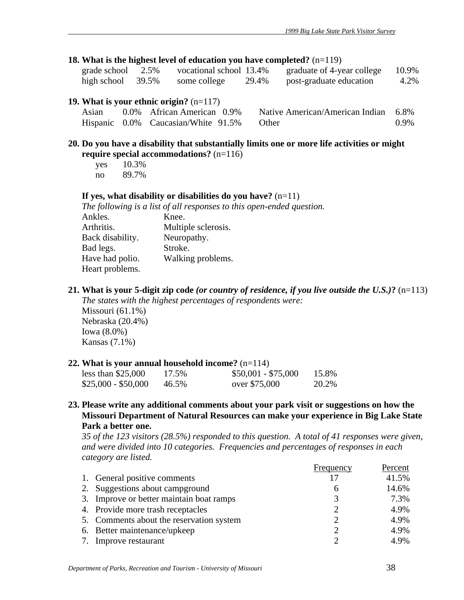#### **18. What is the highest level of education you have completed?** (n=119)

| grade school         | 2.5% | vocational school 13.4% |       | graduate of 4-year college | 10.9% |
|----------------------|------|-------------------------|-------|----------------------------|-------|
| high school $39.5\%$ |      | some college            | 29.4% | post-graduate education    | 4.2%  |

#### **19. What is your ethnic origin?** (n=117)

| Asian | 0.0% African American 0.9%                | Native American/American Indian 6.8% |         |
|-------|-------------------------------------------|--------------------------------------|---------|
|       | Hispanic 0.0% Caucasian/White 91.5% Other |                                      | $0.9\%$ |

#### **20. Do you have a disability that substantially limits one or more life activities or might require special accommodations?** (n=116)

| yes | 10.3% |
|-----|-------|
| no  | 89.7% |

Kansas (7.1%)

#### **If yes, what disability or disabilities do you have?** (n=11)

*The following is a list of all responses to this open-ended question.* 

| Ankles.          | Knee.               |
|------------------|---------------------|
| Arthritis.       | Multiple sclerosis. |
| Back disability. | Neuropathy.         |
| Bad legs.        | Stroke.             |
| Have had polio.  | Walking problems.   |
| Heart problems.  |                     |

**21. What is your 5-digit zip code** *(or country of residence, if you live outside the U.S.)***?** (n=113)

*The states with the highest percentages of respondents were:*  Missouri (61.1%) Nebraska (20.4%) Iowa (8.0%)

#### **22. What is your annual household income?** (n=114)

| less than $$25,000$ | 17.5% | $$50,001 - $75,000$ | 15.8% |
|---------------------|-------|---------------------|-------|
| \$25,000 - \$50,000 | 46.5% | over \$75,000       | 20.2% |

**23. Please write any additional comments about your park visit or suggestions on how the Missouri Department of Natural Resources can make your experience in Big Lake State Park a better one.** 

*35 of the 123 visitors (28.5%) responded to this question. A total of 41 responses were given, and were divided into 10 categories. Frequencies and percentages of responses in each category are listed.*

|                                          | Frequency     | Percent |
|------------------------------------------|---------------|---------|
| 1. General positive comments             |               | 41.5%   |
| 2. Suggestions about campground          | 6             | 14.6%   |
| 3. Improve or better maintain boat ramps | 3             | 7.3%    |
| 4. Provide more trash receptacles        |               | 4.9%    |
| 5. Comments about the reservation system | $\mathcal{D}$ | 4.9%    |
| 6. Better maintenance/upkeep             | ∍             | 4.9%    |
| 7. Improve restaurant                    |               | 4.9%    |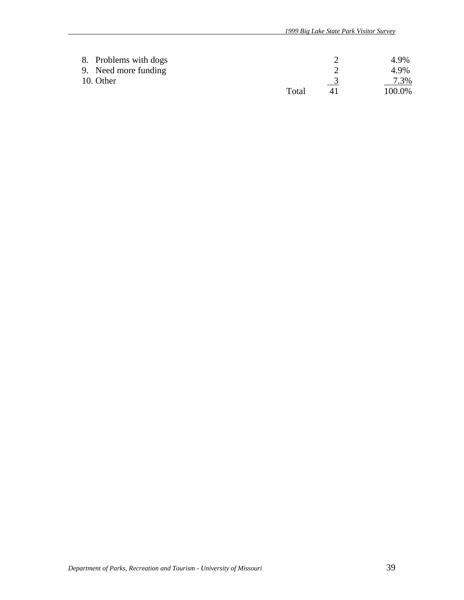| 8. Problems with dogs |       | 4.9%    |
|-----------------------|-------|---------|
| 9. Need more funding  |       | 4.9%    |
| 10. Other             |       | $7.3\%$ |
|                       | Total | 100.0%  |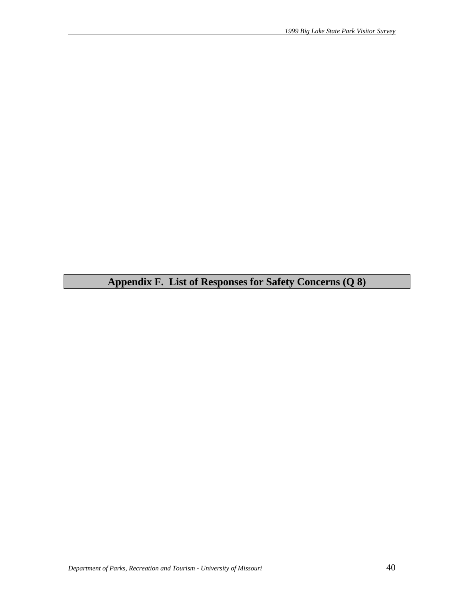**Appendix F. List of Responses for Safety Concerns (Q 8)**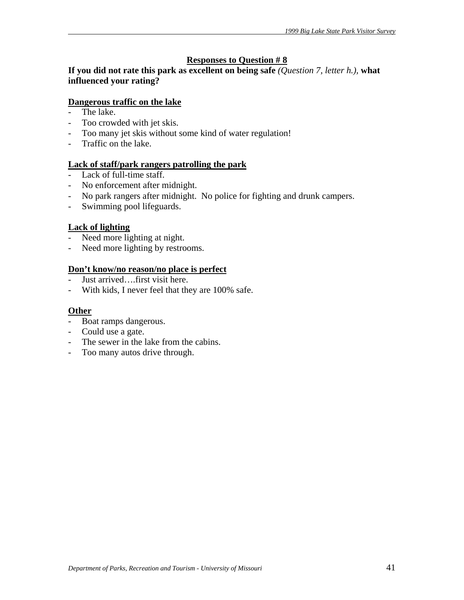# **Responses to Question # 8**

**If you did not rate this park as excellent on being safe** *(Question 7, letter h.),* **what influenced your rating?** 

# **Dangerous traffic on the lake**

- The lake.
- Too crowded with jet skis.
- Too many jet skis without some kind of water regulation!
- Traffic on the lake.

# **Lack of staff/park rangers patrolling the park**

- Lack of full-time staff.
- No enforcement after midnight.
- No park rangers after midnight. No police for fighting and drunk campers.
- Swimming pool lifeguards.

### **Lack of lighting**

- Need more lighting at night.
- Need more lighting by restrooms.

# **Don't know/no reason/no place is perfect**

- Just arrived....first visit here.
- With kids, I never feel that they are 100% safe.

### **Other**

- Boat ramps dangerous.
- Could use a gate.
- The sewer in the lake from the cabins.
- Too many autos drive through.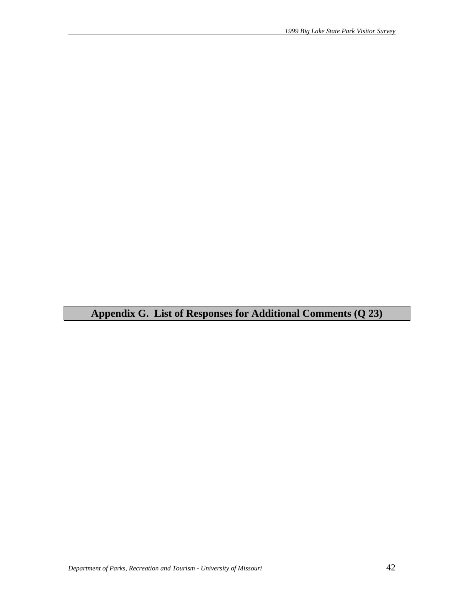**Appendix G. List of Responses for Additional Comments (Q 23)**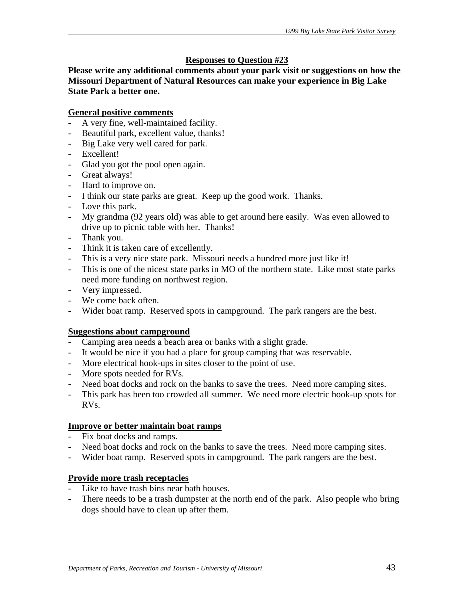# **Responses to Question #23**

**Please write any additional comments about your park visit or suggestions on how the Missouri Department of Natural Resources can make your experience in Big Lake State Park a better one.** 

# **General positive comments**

- A very fine, well-maintained facility.
- Beautiful park, excellent value, thanks!
- Big Lake very well cared for park.
- Excellent!
- Glad you got the pool open again.
- Great always!
- Hard to improve on.
- I think our state parks are great. Keep up the good work. Thanks.
- Love this park.
- My grandma (92 years old) was able to get around here easily. Was even allowed to drive up to picnic table with her. Thanks!
- Thank you.
- Think it is taken care of excellently.
- This is a very nice state park. Missouri needs a hundred more just like it!
- This is one of the nicest state parks in MO of the northern state. Like most state parks need more funding on northwest region.
- Very impressed.
- We come back often.
- Wider boat ramp. Reserved spots in campground. The park rangers are the best.

### **Suggestions about campground**

- Camping area needs a beach area or banks with a slight grade.
- It would be nice if you had a place for group camping that was reservable.
- More electrical hook-ups in sites closer to the point of use.
- More spots needed for RVs.
- Need boat docks and rock on the banks to save the trees. Need more camping sites.
- This park has been too crowded all summer. We need more electric hook-up spots for RVs.

### **Improve or better maintain boat ramps**

- Fix boat docks and ramps.
- Need boat docks and rock on the banks to save the trees. Need more camping sites.
- Wider boat ramp. Reserved spots in campground. The park rangers are the best.

### **Provide more trash receptacles**

- Like to have trash bins near bath houses.
- There needs to be a trash dumpster at the north end of the park. Also people who bring dogs should have to clean up after them.